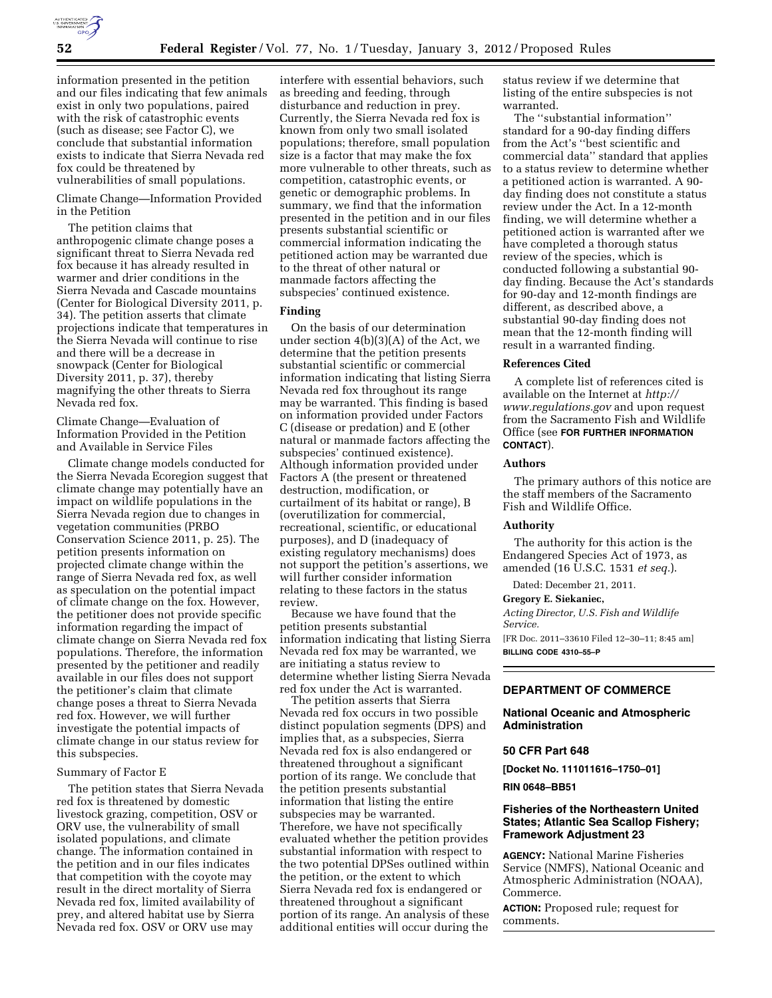

information presented in the petition and our files indicating that few animals exist in only two populations, paired with the risk of catastrophic events (such as disease; see Factor C), we conclude that substantial information exists to indicate that Sierra Nevada red fox could be threatened by vulnerabilities of small populations.

Climate Change—Information Provided in the Petition

The petition claims that anthropogenic climate change poses a significant threat to Sierra Nevada red fox because it has already resulted in warmer and drier conditions in the Sierra Nevada and Cascade mountains (Center for Biological Diversity 2011, p. 34). The petition asserts that climate projections indicate that temperatures in the Sierra Nevada will continue to rise and there will be a decrease in snowpack (Center for Biological Diversity 2011, p. 37), thereby magnifying the other threats to Sierra Nevada red fox.

Climate Change—Evaluation of Information Provided in the Petition and Available in Service Files

Climate change models conducted for the Sierra Nevada Ecoregion suggest that climate change may potentially have an impact on wildlife populations in the Sierra Nevada region due to changes in vegetation communities (PRBO Conservation Science 2011, p. 25). The petition presents information on projected climate change within the range of Sierra Nevada red fox, as well as speculation on the potential impact of climate change on the fox. However, the petitioner does not provide specific information regarding the impact of climate change on Sierra Nevada red fox populations. Therefore, the information presented by the petitioner and readily available in our files does not support the petitioner's claim that climate change poses a threat to Sierra Nevada red fox. However, we will further investigate the potential impacts of climate change in our status review for this subspecies.

#### Summary of Factor E

The petition states that Sierra Nevada red fox is threatened by domestic livestock grazing, competition, OSV or ORV use, the vulnerability of small isolated populations, and climate change. The information contained in the petition and in our files indicates that competition with the coyote may result in the direct mortality of Sierra Nevada red fox, limited availability of prey, and altered habitat use by Sierra Nevada red fox. OSV or ORV use may

interfere with essential behaviors, such as breeding and feeding, through disturbance and reduction in prey. Currently, the Sierra Nevada red fox is known from only two small isolated populations; therefore, small population size is a factor that may make the fox more vulnerable to other threats, such as competition, catastrophic events, or genetic or demographic problems. In summary, we find that the information presented in the petition and in our files presents substantial scientific or commercial information indicating the petitioned action may be warranted due to the threat of other natural or manmade factors affecting the subspecies' continued existence.

# **Finding**

On the basis of our determination under section 4(b)(3)(A) of the Act, we determine that the petition presents substantial scientific or commercial information indicating that listing Sierra Nevada red fox throughout its range may be warranted. This finding is based on information provided under Factors C (disease or predation) and E (other natural or manmade factors affecting the subspecies' continued existence). Although information provided under Factors A (the present or threatened destruction, modification, or curtailment of its habitat or range), B (overutilization for commercial, recreational, scientific, or educational purposes), and D (inadequacy of existing regulatory mechanisms) does not support the petition's assertions, we will further consider information relating to these factors in the status review.

Because we have found that the petition presents substantial information indicating that listing Sierra Nevada red fox may be warranted, we are initiating a status review to determine whether listing Sierra Nevada red fox under the Act is warranted.

The petition asserts that Sierra Nevada red fox occurs in two possible distinct population segments (DPS) and implies that, as a subspecies, Sierra Nevada red fox is also endangered or threatened throughout a significant portion of its range. We conclude that the petition presents substantial information that listing the entire subspecies may be warranted. Therefore, we have not specifically evaluated whether the petition provides substantial information with respect to the two potential DPSes outlined within the petition, or the extent to which Sierra Nevada red fox is endangered or threatened throughout a significant portion of its range. An analysis of these additional entities will occur during the

status review if we determine that listing of the entire subspecies is not warranted.

The ''substantial information'' standard for a 90-day finding differs from the Act's ''best scientific and commercial data'' standard that applies to a status review to determine whether a petitioned action is warranted. A 90 day finding does not constitute a status review under the Act. In a 12-month finding, we will determine whether a petitioned action is warranted after we have completed a thorough status review of the species, which is conducted following a substantial 90 day finding. Because the Act's standards for 90-day and 12-month findings are different, as described above, a substantial 90-day finding does not mean that the 12-month finding will result in a warranted finding.

#### **References Cited**

A complete list of references cited is available on the Internet at *[http://](http://www.regulations.gov) [www.regulations.gov](http://www.regulations.gov)* and upon request from the Sacramento Fish and Wildlife Office (see **FOR FURTHER INFORMATION CONTACT**).

# **Authors**

The primary authors of this notice are the staff members of the Sacramento Fish and Wildlife Office.

# **Authority**

The authority for this action is the Endangered Species Act of 1973, as amended (16 U.S.C. 1531 *et seq.*).

Dated: December 21, 2011.

#### **Gregory E. Siekaniec,**

*Acting Director, U.S. Fish and Wildlife Service.* 

[FR Doc. 2011–33610 Filed 12–30–11; 8:45 am] **BILLING CODE 4310–55–P** 

### **DEPARTMENT OF COMMERCE**

**National Oceanic and Atmospheric Administration** 

#### **50 CFR Part 648**

**[Docket No. 111011616–1750–01]** 

**RIN 0648–BB51** 

# **Fisheries of the Northeastern United States; Atlantic Sea Scallop Fishery; Framework Adjustment 23**

**AGENCY:** National Marine Fisheries Service (NMFS), National Oceanic and Atmospheric Administration (NOAA), Commerce.

**ACTION:** Proposed rule; request for comments.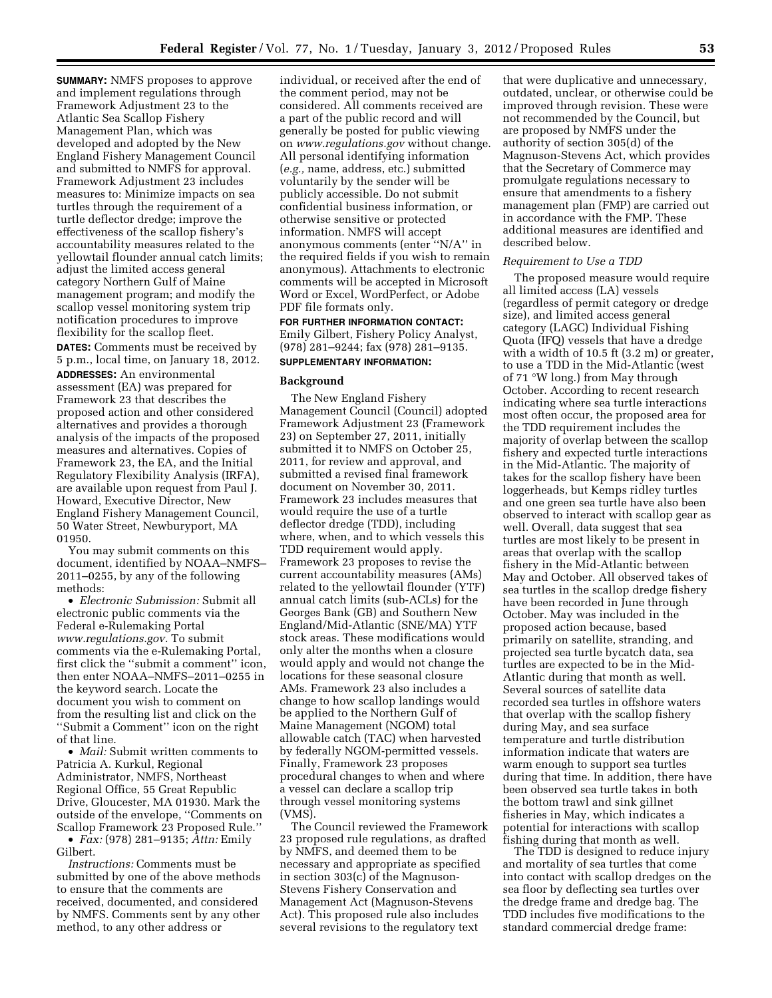**SUMMARY:** NMFS proposes to approve and implement regulations through Framework Adjustment 23 to the Atlantic Sea Scallop Fishery Management Plan, which was developed and adopted by the New England Fishery Management Council and submitted to NMFS for approval. Framework Adjustment 23 includes measures to: Minimize impacts on sea turtles through the requirement of a turtle deflector dredge; improve the effectiveness of the scallop fishery's accountability measures related to the yellowtail flounder annual catch limits; adjust the limited access general category Northern Gulf of Maine management program; and modify the scallop vessel monitoring system trip notification procedures to improve flexibility for the scallop fleet.

**DATES:** Comments must be received by 5 p.m., local time, on January 18, 2012. **ADDRESSES:** An environmental assessment (EA) was prepared for Framework 23 that describes the proposed action and other considered alternatives and provides a thorough analysis of the impacts of the proposed measures and alternatives. Copies of Framework 23, the EA, and the Initial Regulatory Flexibility Analysis (IRFA), are available upon request from Paul J. Howard, Executive Director, New England Fishery Management Council, 50 Water Street, Newburyport, MA 01950.

You may submit comments on this document, identified by NOAA–NMFS– 2011–0255, by any of the following methods:

• *Electronic Submission:* Submit all electronic public comments via the Federal e-Rulemaking Portal *[www.regulations.gov.](http://www.regulations.gov)* To submit comments via the e-Rulemaking Portal, first click the ''submit a comment'' icon, then enter NOAA–NMFS–2011–0255 in the keyword search. Locate the document you wish to comment on from the resulting list and click on the ''Submit a Comment'' icon on the right of that line.

• *Mail:* Submit written comments to Patricia A. Kurkul, Regional Administrator, NMFS, Northeast Regional Office, 55 Great Republic Drive, Gloucester, MA 01930. Mark the outside of the envelope, ''Comments on Scallop Framework 23 Proposed Rule.''

• *Fax:* (978) 281–9135; *Attn:* Emily Gilbert.

*Instructions:* Comments must be submitted by one of the above methods to ensure that the comments are received, documented, and considered by NMFS. Comments sent by any other method, to any other address or

individual, or received after the end of the comment period, may not be considered. All comments received are a part of the public record and will generally be posted for public viewing on *[www.regulations.gov](http://www.regulations.gov)* without change. All personal identifying information (*e.g.,* name, address, etc.) submitted voluntarily by the sender will be publicly accessible. Do not submit confidential business information, or otherwise sensitive or protected information. NMFS will accept anonymous comments (enter ''N/A'' in the required fields if you wish to remain anonymous). Attachments to electronic comments will be accepted in Microsoft Word or Excel, WordPerfect, or Adobe PDF file formats only.

# **FOR FURTHER INFORMATION CONTACT:**  Emily Gilbert, Fishery Policy Analyst, (978) 281–9244; fax (978) 281–9135. **SUPPLEMENTARY INFORMATION:**

### **Background**

The New England Fishery Management Council (Council) adopted Framework Adjustment 23 (Framework 23) on September 27, 2011, initially submitted it to NMFS on October 25, 2011, for review and approval, and submitted a revised final framework document on November 30, 2011. Framework 23 includes measures that would require the use of a turtle deflector dredge (TDD), including where, when, and to which vessels this TDD requirement would apply. Framework 23 proposes to revise the current accountability measures (AMs) related to the yellowtail flounder (YTF) annual catch limits (sub-ACLs) for the Georges Bank (GB) and Southern New England/Mid-Atlantic (SNE/MA) YTF stock areas. These modifications would only alter the months when a closure would apply and would not change the locations for these seasonal closure AMs. Framework 23 also includes a change to how scallop landings would be applied to the Northern Gulf of Maine Management (NGOM) total allowable catch (TAC) when harvested by federally NGOM-permitted vessels. Finally, Framework 23 proposes procedural changes to when and where a vessel can declare a scallop trip through vessel monitoring systems (VMS).

The Council reviewed the Framework 23 proposed rule regulations, as drafted by NMFS, and deemed them to be necessary and appropriate as specified in section 303(c) of the Magnuson-Stevens Fishery Conservation and Management Act (Magnuson-Stevens Act). This proposed rule also includes several revisions to the regulatory text

that were duplicative and unnecessary, outdated, unclear, or otherwise could be improved through revision. These were not recommended by the Council, but are proposed by NMFS under the authority of section 305(d) of the Magnuson-Stevens Act, which provides that the Secretary of Commerce may promulgate regulations necessary to ensure that amendments to a fishery management plan (FMP) are carried out in accordance with the FMP. These additional measures are identified and described below.

### *Requirement to Use a TDD*

The proposed measure would require all limited access (LA) vessels (regardless of permit category or dredge size), and limited access general category (LAGC) Individual Fishing Quota (IFQ) vessels that have a dredge with a width of 10.5 ft (3.2 m) or greater, to use a TDD in the Mid-Atlantic (west of 71 °W long.) from May through October. According to recent research indicating where sea turtle interactions most often occur, the proposed area for the TDD requirement includes the majority of overlap between the scallop fishery and expected turtle interactions in the Mid-Atlantic. The majority of takes for the scallop fishery have been loggerheads, but Kemps ridley turtles and one green sea turtle have also been observed to interact with scallop gear as well. Overall, data suggest that sea turtles are most likely to be present in areas that overlap with the scallop fishery in the Mid-Atlantic between May and October. All observed takes of sea turtles in the scallop dredge fishery have been recorded in June through October. May was included in the proposed action because, based primarily on satellite, stranding, and projected sea turtle bycatch data, sea turtles are expected to be in the Mid-Atlantic during that month as well. Several sources of satellite data recorded sea turtles in offshore waters that overlap with the scallop fishery during May, and sea surface temperature and turtle distribution information indicate that waters are warm enough to support sea turtles during that time. In addition, there have been observed sea turtle takes in both the bottom trawl and sink gillnet fisheries in May, which indicates a potential for interactions with scallop fishing during that month as well.

The TDD is designed to reduce injury and mortality of sea turtles that come into contact with scallop dredges on the sea floor by deflecting sea turtles over the dredge frame and dredge bag. The TDD includes five modifications to the standard commercial dredge frame: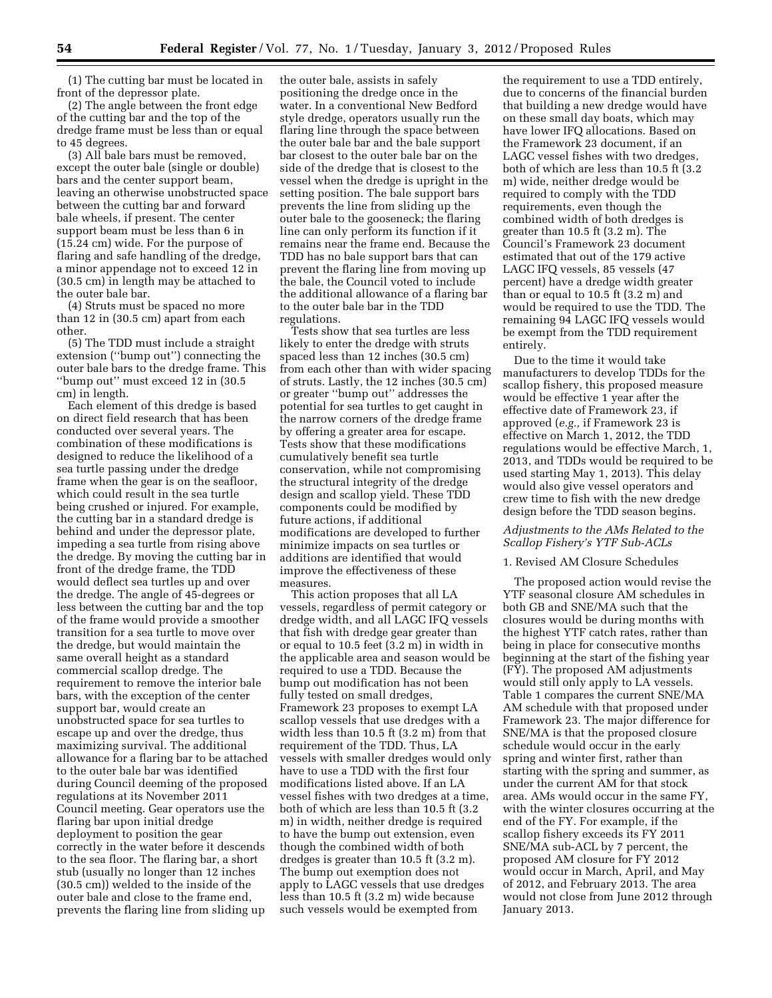(1) The cutting bar must be located in front of the depressor plate.

(2) The angle between the front edge of the cutting bar and the top of the dredge frame must be less than or equal to 45 degrees.

(3) All bale bars must be removed, except the outer bale (single or double) bars and the center support beam, leaving an otherwise unobstructed space between the cutting bar and forward bale wheels, if present. The center support beam must be less than 6 in (15.24 cm) wide. For the purpose of flaring and safe handling of the dredge, a minor appendage not to exceed 12 in (30.5 cm) in length may be attached to the outer bale bar.

(4) Struts must be spaced no more than 12 in (30.5 cm) apart from each other.

(5) The TDD must include a straight extension (''bump out'') connecting the outer bale bars to the dredge frame. This ''bump out'' must exceed 12 in (30.5 cm) in length.

Each element of this dredge is based on direct field research that has been conducted over several years. The combination of these modifications is designed to reduce the likelihood of a sea turtle passing under the dredge frame when the gear is on the seafloor, which could result in the sea turtle being crushed or injured. For example, the cutting bar in a standard dredge is behind and under the depressor plate, impeding a sea turtle from rising above the dredge. By moving the cutting bar in front of the dredge frame, the TDD would deflect sea turtles up and over the dredge. The angle of 45-degrees or less between the cutting bar and the top of the frame would provide a smoother transition for a sea turtle to move over the dredge, but would maintain the same overall height as a standard commercial scallop dredge. The requirement to remove the interior bale bars, with the exception of the center support bar, would create an unobstructed space for sea turtles to escape up and over the dredge, thus maximizing survival. The additional allowance for a flaring bar to be attached to the outer bale bar was identified during Council deeming of the proposed regulations at its November 2011 Council meeting. Gear operators use the flaring bar upon initial dredge deployment to position the gear correctly in the water before it descends to the sea floor. The flaring bar, a short stub (usually no longer than 12 inches (30.5 cm)) welded to the inside of the outer bale and close to the frame end, prevents the flaring line from sliding up

the outer bale, assists in safely positioning the dredge once in the water. In a conventional New Bedford style dredge, operators usually run the flaring line through the space between the outer bale bar and the bale support bar closest to the outer bale bar on the side of the dredge that is closest to the vessel when the dredge is upright in the setting position. The bale support bars prevents the line from sliding up the outer bale to the gooseneck; the flaring line can only perform its function if it remains near the frame end. Because the TDD has no bale support bars that can prevent the flaring line from moving up the bale, the Council voted to include the additional allowance of a flaring bar to the outer bale bar in the TDD regulations.

Tests show that sea turtles are less likely to enter the dredge with struts spaced less than 12 inches (30.5 cm) from each other than with wider spacing of struts. Lastly, the 12 inches (30.5 cm) or greater ''bump out'' addresses the potential for sea turtles to get caught in the narrow corners of the dredge frame by offering a greater area for escape. Tests show that these modifications cumulatively benefit sea turtle conservation, while not compromising the structural integrity of the dredge design and scallop yield. These TDD components could be modified by future actions, if additional modifications are developed to further minimize impacts on sea turtles or additions are identified that would improve the effectiveness of these measures.

This action proposes that all LA vessels, regardless of permit category or dredge width, and all LAGC IFQ vessels that fish with dredge gear greater than or equal to 10.5 feet (3.2 m) in width in the applicable area and season would be required to use a TDD. Because the bump out modification has not been fully tested on small dredges, Framework 23 proposes to exempt LA scallop vessels that use dredges with a width less than 10.5 ft (3.2 m) from that requirement of the TDD. Thus, LA vessels with smaller dredges would only have to use a TDD with the first four modifications listed above. If an LA vessel fishes with two dredges at a time, both of which are less than 10.5 ft (3.2 m) in width, neither dredge is required to have the bump out extension, even though the combined width of both dredges is greater than 10.5 ft (3.2 m). The bump out exemption does not apply to LAGC vessels that use dredges less than 10.5 ft (3.2 m) wide because such vessels would be exempted from

the requirement to use a TDD entirely, due to concerns of the financial burden that building a new dredge would have on these small day boats, which may have lower IFQ allocations. Based on the Framework 23 document, if an LAGC vessel fishes with two dredges, both of which are less than 10.5 ft (3.2 m) wide, neither dredge would be required to comply with the TDD requirements, even though the combined width of both dredges is greater than 10.5 ft (3.2 m). The Council's Framework 23 document estimated that out of the 179 active LAGC IFQ vessels, 85 vessels (47 percent) have a dredge width greater than or equal to 10.5 ft (3.2 m) and would be required to use the TDD. The remaining 94 LAGC IFQ vessels would be exempt from the TDD requirement entirely.

Due to the time it would take manufacturers to develop TDDs for the scallop fishery, this proposed measure would be effective 1 year after the effective date of Framework 23, if approved (*e.g.,* if Framework 23 is effective on March 1, 2012, the TDD regulations would be effective March, 1, 2013, and TDDs would be required to be used starting May 1, 2013). This delay would also give vessel operators and crew time to fish with the new dredge design before the TDD season begins.

### *Adjustments to the AMs Related to the Scallop Fishery's YTF Sub-ACLs*

### 1. Revised AM Closure Schedules

The proposed action would revise the YTF seasonal closure AM schedules in both GB and SNE/MA such that the closures would be during months with the highest YTF catch rates, rather than being in place for consecutive months beginning at the start of the fishing year (FY). The proposed AM adjustments would still only apply to LA vessels. Table 1 compares the current SNE/MA AM schedule with that proposed under Framework 23. The major difference for SNE/MA is that the proposed closure schedule would occur in the early spring and winter first, rather than starting with the spring and summer, as under the current AM for that stock area. AMs would occur in the same FY, with the winter closures occurring at the end of the FY. For example, if the scallop fishery exceeds its FY 2011 SNE/MA sub-ACL by 7 percent, the proposed AM closure for FY 2012 would occur in March, April, and May of 2012, and February 2013. The area would not close from June 2012 through January 2013.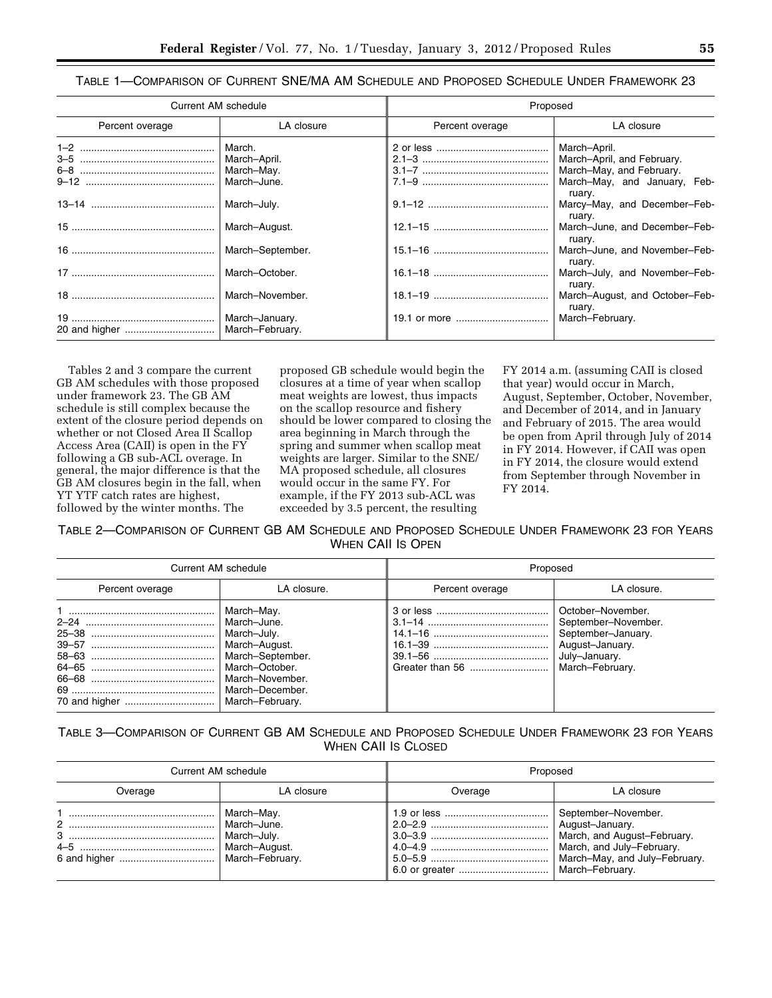TABLE 1—COMPARISON OF CURRENT SNE/MA AM SCHEDULE AND PROPOSED SCHEDULE UNDER FRAMEWORK 23

| Current AM schedule |                                   | Proposed        |                                          |
|---------------------|-----------------------------------|-----------------|------------------------------------------|
| Percent overage     | LA closure                        | Percent overage | LA closure                               |
|                     | March.                            |                 | March-April.                             |
|                     | March-April.                      |                 | March-April, and February.               |
|                     | March-May.                        |                 | March-May, and February.                 |
|                     | March-June.                       |                 | March-May, and January, Feb-<br>ruary.   |
|                     | March-July.                       |                 | Marcy-May, and December-Feb-<br>ruary.   |
|                     | March-August.                     |                 | March-June, and December-Feb-<br>ruary.  |
|                     | March-September.                  |                 | March-June, and November-Feb-<br>ruary.  |
|                     | March-October.                    |                 | March-July, and November-Feb-<br>ruary.  |
|                     | March-November.                   |                 | March-August, and October-Feb-<br>ruary. |
|                     | March-January.<br>March-February. |                 | March-February.                          |

Tables 2 and 3 compare the current GB AM schedules with those proposed under framework 23. The GB AM schedule is still complex because the extent of the closure period depends on whether or not Closed Area II Scallop Access Area (CAII) is open in the FY following a GB sub-ACL overage. In general, the major difference is that the GB AM closures begin in the fall, when YT YTF catch rates are highest, followed by the winter months. The

proposed GB schedule would begin the closures at a time of year when scallop meat weights are lowest, thus impacts on the scallop resource and fishery should be lower compared to closing the area beginning in March through the spring and summer when scallop meat weights are larger. Similar to the SNE/ MA proposed schedule, all closures would occur in the same FY. For example, if the FY 2013 sub-ACL was exceeded by 3.5 percent, the resulting

FY 2014 a.m. (assuming CAII is closed that year) would occur in March, August, September, October, November, and December of 2014, and in January and February of 2015. The area would be open from April through July of 2014 in FY 2014. However, if CAII was open in FY 2014, the closure would extend from September through November in FY 2014.

TABLE 2—COMPARISON OF CURRENT GB AM SCHEDULE AND PROPOSED SCHEDULE UNDER FRAMEWORK 23 FOR YEARS WHEN CAII IS OPEN

| Current AM schedule |                                                                                                                                                          | Proposed        |                                                                                                                       |
|---------------------|----------------------------------------------------------------------------------------------------------------------------------------------------------|-----------------|-----------------------------------------------------------------------------------------------------------------------|
| Percent overage     | LA closure.                                                                                                                                              | Percent overage | LA closure.                                                                                                           |
|                     | March-May.<br>March-June.<br>March-July.<br>March-August.<br>March-September.<br>March-October.<br>March-November.<br>March-December.<br>March-February. |                 | October-November.<br>September-November.<br>September-January.<br>August-January.<br>July-January.<br>March-February. |

# TABLE 3—COMPARISON OF CURRENT GB AM SCHEDULE AND PROPOSED SCHEDULE UNDER FRAMEWORK 23 FOR YEARS WHEN CAII IS CLOSED

| Current AM schedule |                                                                              | Proposed |                                                                                                                                                        |
|---------------------|------------------------------------------------------------------------------|----------|--------------------------------------------------------------------------------------------------------------------------------------------------------|
| Overage             | LA closure                                                                   | Overage  | LA closure                                                                                                                                             |
|                     | March-May.<br>March-June.<br>March-July.<br>March-August.<br>March-February. |          | September-November.<br>August-January.<br>March, and August-February.<br>March, and July-February.<br>March-May, and July-February.<br>March-February. |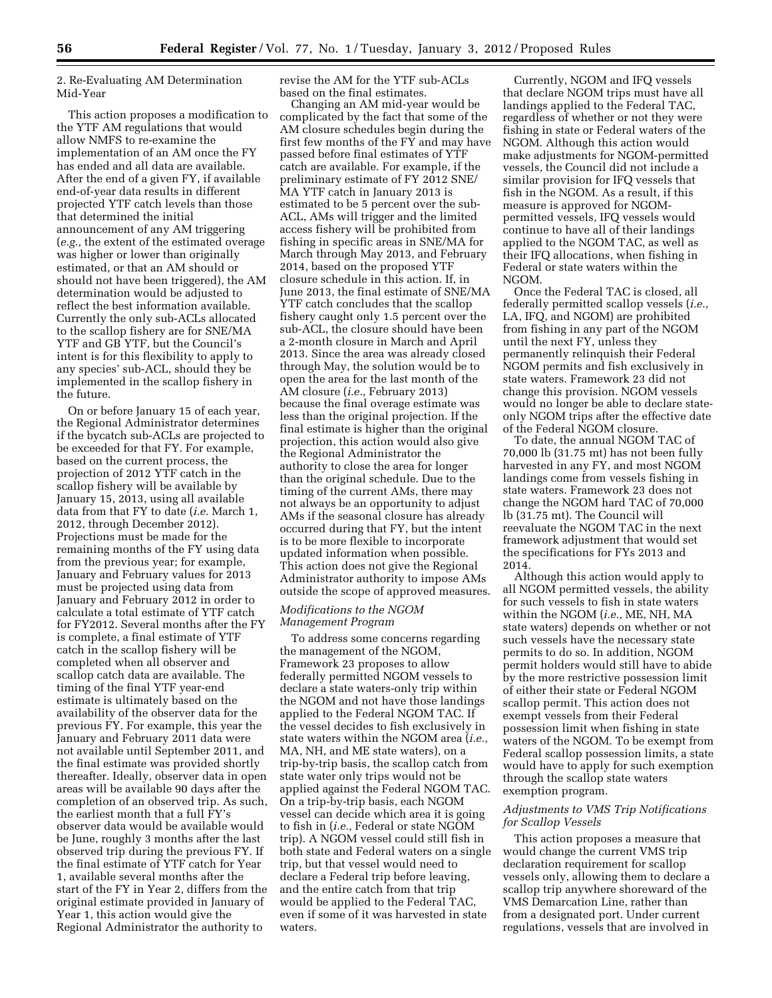2. Re-Evaluating AM Determination Mid-Year

This action proposes a modification to the YTF AM regulations that would allow NMFS to re-examine the implementation of an AM once the FY has ended and all data are available. After the end of a given FY, if available end-of-year data results in different projected YTF catch levels than those that determined the initial announcement of any AM triggering (*e.g.,* the extent of the estimated overage was higher or lower than originally estimated, or that an AM should or should not have been triggered), the AM determination would be adjusted to reflect the best information available. Currently the only sub-ACLs allocated to the scallop fishery are for SNE/MA YTF and GB YTF, but the Council's intent is for this flexibility to apply to any species' sub-ACL, should they be implemented in the scallop fishery in the future.

On or before January 15 of each year, the Regional Administrator determines if the bycatch sub-ACLs are projected to be exceeded for that FY. For example, based on the current process, the projection of 2012 YTF catch in the scallop fishery will be available by January 15, 2013, using all available data from that FY to date (*i.e.* March 1, 2012, through December 2012). Projections must be made for the remaining months of the FY using data from the previous year; for example, January and February values for 2013 must be projected using data from January and February 2012 in order to calculate a total estimate of YTF catch for FY2012. Several months after the FY is complete, a final estimate of YTF catch in the scallop fishery will be completed when all observer and scallop catch data are available. The timing of the final YTF year-end estimate is ultimately based on the availability of the observer data for the previous FY. For example, this year the January and February 2011 data were not available until September 2011, and the final estimate was provided shortly thereafter. Ideally, observer data in open areas will be available 90 days after the completion of an observed trip. As such, the earliest month that a full FY's observer data would be available would be June, roughly 3 months after the last observed trip during the previous FY. If the final estimate of YTF catch for Year 1, available several months after the start of the FY in Year 2, differs from the original estimate provided in January of Year 1, this action would give the Regional Administrator the authority to

revise the AM for the YTF sub-ACLs based on the final estimates.

Changing an AM mid-year would be complicated by the fact that some of the AM closure schedules begin during the first few months of the FY and may have passed before final estimates of YTF catch are available. For example, if the preliminary estimate of FY 2012 SNE/ MA YTF catch in January 2013 is estimated to be 5 percent over the sub-ACL, AMs will trigger and the limited access fishery will be prohibited from fishing in specific areas in SNE/MA for March through May 2013, and February 2014, based on the proposed YTF closure schedule in this action. If, in June 2013, the final estimate of SNE/MA YTF catch concludes that the scallop fishery caught only 1.5 percent over the sub-ACL, the closure should have been a 2-month closure in March and April 2013. Since the area was already closed through May, the solution would be to open the area for the last month of the AM closure (*i.e.,* February 2013) because the final overage estimate was less than the original projection. If the final estimate is higher than the original projection, this action would also give the Regional Administrator the authority to close the area for longer than the original schedule. Due to the timing of the current AMs, there may not always be an opportunity to adjust AMs if the seasonal closure has already occurred during that FY, but the intent is to be more flexible to incorporate updated information when possible. This action does not give the Regional Administrator authority to impose AMs outside the scope of approved measures.

# *Modifications to the NGOM Management Program*

To address some concerns regarding the management of the NGOM, Framework 23 proposes to allow federally permitted NGOM vessels to declare a state waters-only trip within the NGOM and not have those landings applied to the Federal NGOM TAC. If the vessel decides to fish exclusively in state waters within the NGOM area (*i.e.,*  MA, NH, and ME state waters), on a trip-by-trip basis, the scallop catch from state water only trips would not be applied against the Federal NGOM TAC. On a trip-by-trip basis, each NGOM vessel can decide which area it is going to fish in (*i.e.,* Federal or state NGOM trip). A NGOM vessel could still fish in both state and Federal waters on a single trip, but that vessel would need to declare a Federal trip before leaving, and the entire catch from that trip would be applied to the Federal TAC, even if some of it was harvested in state waters.

Currently, NGOM and IFQ vessels that declare NGOM trips must have all landings applied to the Federal TAC, regardless of whether or not they were fishing in state or Federal waters of the NGOM. Although this action would make adjustments for NGOM-permitted vessels, the Council did not include a similar provision for IFQ vessels that fish in the NGOM. As a result, if this measure is approved for NGOMpermitted vessels, IFQ vessels would continue to have all of their landings applied to the NGOM TAC, as well as their IFQ allocations, when fishing in Federal or state waters within the NGOM.

Once the Federal TAC is closed, all federally permitted scallop vessels (*i.e.,*  LA, IFQ, and NGOM) are prohibited from fishing in any part of the NGOM until the next FY, unless they permanently relinquish their Federal NGOM permits and fish exclusively in state waters. Framework 23 did not change this provision. NGOM vessels would no longer be able to declare stateonly NGOM trips after the effective date of the Federal NGOM closure.

To date, the annual NGOM TAC of 70,000 lb (31.75 mt) has not been fully harvested in any FY, and most NGOM landings come from vessels fishing in state waters. Framework 23 does not change the NGOM hard TAC of 70,000 lb (31.75 mt). The Council will reevaluate the NGOM TAC in the next framework adjustment that would set the specifications for FYs 2013 and 2014.

Although this action would apply to all NGOM permitted vessels, the ability for such vessels to fish in state waters within the NGOM (*i.e.,* ME, NH, MA state waters) depends on whether or not such vessels have the necessary state permits to do so. In addition, NGOM permit holders would still have to abide by the more restrictive possession limit of either their state or Federal NGOM scallop permit. This action does not exempt vessels from their Federal possession limit when fishing in state waters of the NGOM. To be exempt from Federal scallop possession limits, a state would have to apply for such exemption through the scallop state waters exemption program.

# *Adjustments to VMS Trip Notifications for Scallop Vessels*

This action proposes a measure that would change the current VMS trip declaration requirement for scallop vessels only, allowing them to declare a scallop trip anywhere shoreward of the VMS Demarcation Line, rather than from a designated port. Under current regulations, vessels that are involved in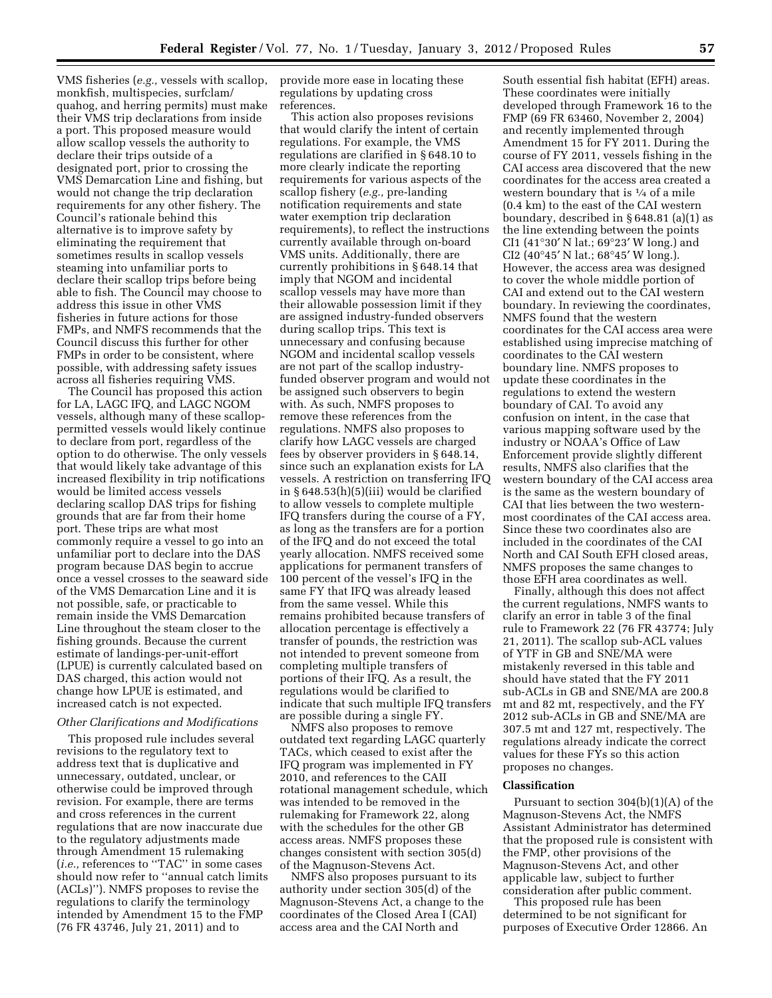VMS fisheries (*e.g.,* vessels with scallop, monkfish, multispecies, surfclam/ quahog, and herring permits) must make their VMS trip declarations from inside a port. This proposed measure would allow scallop vessels the authority to declare their trips outside of a designated port, prior to crossing the VMS Demarcation Line and fishing, but would not change the trip declaration requirements for any other fishery. The Council's rationale behind this alternative is to improve safety by eliminating the requirement that sometimes results in scallop vessels steaming into unfamiliar ports to declare their scallop trips before being able to fish. The Council may choose to address this issue in other VMS fisheries in future actions for those FMPs, and NMFS recommends that the Council discuss this further for other FMPs in order to be consistent, where possible, with addressing safety issues across all fisheries requiring VMS.

The Council has proposed this action for LA, LAGC IFQ, and LAGC NGOM vessels, although many of these scalloppermitted vessels would likely continue to declare from port, regardless of the option to do otherwise. The only vessels that would likely take advantage of this increased flexibility in trip notifications would be limited access vessels declaring scallop DAS trips for fishing grounds that are far from their home port. These trips are what most commonly require a vessel to go into an unfamiliar port to declare into the DAS program because DAS begin to accrue once a vessel crosses to the seaward side of the VMS Demarcation Line and it is not possible, safe, or practicable to remain inside the VMS Demarcation Line throughout the steam closer to the fishing grounds. Because the current estimate of landings-per-unit-effort (LPUE) is currently calculated based on DAS charged, this action would not change how LPUE is estimated, and increased catch is not expected.

### *Other Clarifications and Modifications*

This proposed rule includes several revisions to the regulatory text to address text that is duplicative and unnecessary, outdated, unclear, or otherwise could be improved through revision. For example, there are terms and cross references in the current regulations that are now inaccurate due to the regulatory adjustments made through Amendment 15 rulemaking (*i.e.,* references to ''TAC'' in some cases should now refer to ''annual catch limits (ACLs)''). NMFS proposes to revise the regulations to clarify the terminology intended by Amendment 15 to the FMP (76 FR 43746, July 21, 2011) and to

provide more ease in locating these regulations by updating cross references.

This action also proposes revisions that would clarify the intent of certain regulations. For example, the VMS regulations are clarified in § 648.10 to more clearly indicate the reporting requirements for various aspects of the scallop fishery (*e.g.,* pre-landing notification requirements and state water exemption trip declaration requirements), to reflect the instructions currently available through on-board VMS units. Additionally, there are currently prohibitions in § 648.14 that imply that NGOM and incidental scallop vessels may have more than their allowable possession limit if they are assigned industry-funded observers during scallop trips. This text is unnecessary and confusing because NGOM and incidental scallop vessels are not part of the scallop industryfunded observer program and would not be assigned such observers to begin with. As such, NMFS proposes to remove these references from the regulations. NMFS also proposes to clarify how LAGC vessels are charged fees by observer providers in § 648.14, since such an explanation exists for LA vessels. A restriction on transferring IFQ in § 648.53(h)(5)(iii) would be clarified to allow vessels to complete multiple IFQ transfers during the course of a FY, as long as the transfers are for a portion of the IFQ and do not exceed the total yearly allocation. NMFS received some applications for permanent transfers of 100 percent of the vessel's IFQ in the same FY that IFQ was already leased from the same vessel. While this remains prohibited because transfers of allocation percentage is effectively a transfer of pounds, the restriction was not intended to prevent someone from completing multiple transfers of portions of their IFQ. As a result, the regulations would be clarified to indicate that such multiple IFQ transfers are possible during a single FY.

NMFS also proposes to remove outdated text regarding LAGC quarterly TACs, which ceased to exist after the IFQ program was implemented in FY 2010, and references to the CAII rotational management schedule, which was intended to be removed in the rulemaking for Framework 22, along with the schedules for the other GB access areas. NMFS proposes these changes consistent with section 305(d) of the Magnuson-Stevens Act.

NMFS also proposes pursuant to its authority under section 305(d) of the Magnuson-Stevens Act, a change to the coordinates of the Closed Area I (CAI) access area and the CAI North and

South essential fish habitat (EFH) areas. These coordinates were initially developed through Framework 16 to the FMP (69 FR 63460, November 2, 2004) and recently implemented through Amendment 15 for FY 2011. During the course of FY 2011, vessels fishing in the CAI access area discovered that the new coordinates for the access area created a western boundary that is 1⁄4 of a mile (0.4 km) to the east of the CAI western boundary, described in § 648.81 (a)(1) as the line extending between the points CI1 (41°30′ N lat.; 69°23′ W long.) and CI2 (40°45′ N lat.; 68°45′ W long.). However, the access area was designed to cover the whole middle portion of CAI and extend out to the CAI western boundary. In reviewing the coordinates, NMFS found that the western coordinates for the CAI access area were established using imprecise matching of coordinates to the CAI western boundary line. NMFS proposes to update these coordinates in the regulations to extend the western boundary of CAI. To avoid any confusion on intent, in the case that various mapping software used by the industry or NOAA's Office of Law Enforcement provide slightly different results, NMFS also clarifies that the western boundary of the CAI access area is the same as the western boundary of CAI that lies between the two westernmost coordinates of the CAI access area. Since these two coordinates also are included in the coordinates of the CAI North and CAI South EFH closed areas, NMFS proposes the same changes to those EFH area coordinates as well.

Finally, although this does not affect the current regulations, NMFS wants to clarify an error in table 3 of the final rule to Framework 22 (76 FR 43774; July 21, 2011). The scallop sub-ACL values of YTF in GB and SNE/MA were mistakenly reversed in this table and should have stated that the FY 2011 sub-ACLs in GB and SNE/MA are 200.8 mt and 82 mt, respectively, and the FY 2012 sub-ACLs in GB and SNE/MA are 307.5 mt and 127 mt, respectively. The regulations already indicate the correct values for these FYs so this action proposes no changes.

#### **Classification**

Pursuant to section 304(b)(1)(A) of the Magnuson-Stevens Act, the NMFS Assistant Administrator has determined that the proposed rule is consistent with the FMP, other provisions of the Magnuson-Stevens Act, and other applicable law, subject to further consideration after public comment.

This proposed rule has been determined to be not significant for purposes of Executive Order 12866. An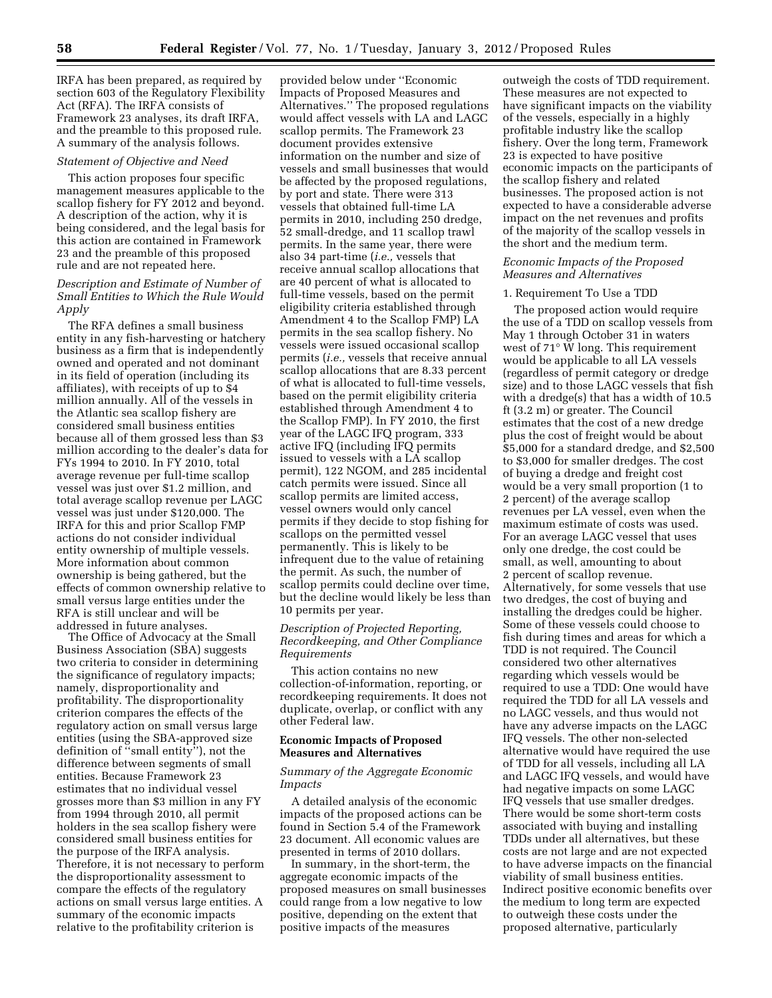IRFA has been prepared, as required by section 603 of the Regulatory Flexibility Act (RFA). The IRFA consists of Framework 23 analyses, its draft IRFA, and the preamble to this proposed rule. A summary of the analysis follows.

#### *Statement of Objective and Need*

This action proposes four specific management measures applicable to the scallop fishery for FY 2012 and beyond. A description of the action, why it is being considered, and the legal basis for this action are contained in Framework 23 and the preamble of this proposed rule and are not repeated here.

# *Description and Estimate of Number of Small Entities to Which the Rule Would Apply*

The RFA defines a small business entity in any fish-harvesting or hatchery business as a firm that is independently owned and operated and not dominant in its field of operation (including its affiliates), with receipts of up to \$4 million annually. All of the vessels in the Atlantic sea scallop fishery are considered small business entities because all of them grossed less than \$3 million according to the dealer's data for FYs 1994 to 2010. In FY 2010, total average revenue per full-time scallop vessel was just over \$1.2 million, and total average scallop revenue per LAGC vessel was just under \$120,000. The IRFA for this and prior Scallop FMP actions do not consider individual entity ownership of multiple vessels. More information about common ownership is being gathered, but the effects of common ownership relative to small versus large entities under the RFA is still unclear and will be addressed in future analyses.

The Office of Advocacy at the Small Business Association (SBA) suggests two criteria to consider in determining the significance of regulatory impacts; namely, disproportionality and profitability. The disproportionality criterion compares the effects of the regulatory action on small versus large entities (using the SBA-approved size definition of ''small entity''), not the difference between segments of small entities. Because Framework 23 estimates that no individual vessel grosses more than \$3 million in any FY from 1994 through 2010, all permit holders in the sea scallop fishery were considered small business entities for the purpose of the IRFA analysis. Therefore, it is not necessary to perform the disproportionality assessment to compare the effects of the regulatory actions on small versus large entities. A summary of the economic impacts relative to the profitability criterion is

provided below under ''Economic Impacts of Proposed Measures and Alternatives.'' The proposed regulations would affect vessels with LA and LAGC scallop permits. The Framework 23 document provides extensive information on the number and size of vessels and small businesses that would be affected by the proposed regulations, by port and state. There were 313 vessels that obtained full-time LA permits in 2010, including 250 dredge, 52 small-dredge, and 11 scallop trawl permits. In the same year, there were also 34 part-time (*i.e.,* vessels that receive annual scallop allocations that are 40 percent of what is allocated to full-time vessels, based on the permit eligibility criteria established through Amendment 4 to the Scallop FMP) LA permits in the sea scallop fishery. No vessels were issued occasional scallop permits (*i.e.,* vessels that receive annual scallop allocations that are 8.33 percent of what is allocated to full-time vessels, based on the permit eligibility criteria established through Amendment 4 to the Scallop FMP). In FY 2010, the first year of the LAGC IFQ program, 333 active IFQ (including IFQ permits issued to vessels with a LA scallop permit), 122 NGOM, and 285 incidental catch permits were issued. Since all scallop permits are limited access, vessel owners would only cancel permits if they decide to stop fishing for scallops on the permitted vessel permanently. This is likely to be infrequent due to the value of retaining the permit. As such, the number of scallop permits could decline over time, but the decline would likely be less than 10 permits per year.

# *Description of Projected Reporting, Recordkeeping, and Other Compliance Requirements*

This action contains no new collection-of-information, reporting, or recordkeeping requirements. It does not duplicate, overlap, or conflict with any other Federal law.

# **Economic Impacts of Proposed Measures and Alternatives**

### *Summary of the Aggregate Economic Impacts*

A detailed analysis of the economic impacts of the proposed actions can be found in Section 5.4 of the Framework 23 document. All economic values are presented in terms of 2010 dollars.

In summary, in the short-term, the aggregate economic impacts of the proposed measures on small businesses could range from a low negative to low positive, depending on the extent that positive impacts of the measures

outweigh the costs of TDD requirement. These measures are not expected to have significant impacts on the viability of the vessels, especially in a highly profitable industry like the scallop fishery. Over the long term, Framework 23 is expected to have positive economic impacts on the participants of the scallop fishery and related businesses. The proposed action is not expected to have a considerable adverse impact on the net revenues and profits of the majority of the scallop vessels in the short and the medium term.

# *Economic Impacts of the Proposed Measures and Alternatives*

#### 1. Requirement To Use a TDD

The proposed action would require the use of a TDD on scallop vessels from May 1 through October 31 in waters west of 71° W long. This requirement would be applicable to all LA vessels (regardless of permit category or dredge size) and to those LAGC vessels that fish with a dredge(s) that has a width of 10.5 ft (3.2 m) or greater. The Council estimates that the cost of a new dredge plus the cost of freight would be about \$5,000 for a standard dredge, and \$2,500 to \$3,000 for smaller dredges. The cost of buying a dredge and freight cost would be a very small proportion (1 to 2 percent) of the average scallop revenues per LA vessel, even when the maximum estimate of costs was used. For an average LAGC vessel that uses only one dredge, the cost could be small, as well, amounting to about 2 percent of scallop revenue. Alternatively, for some vessels that use two dredges, the cost of buying and installing the dredges could be higher. Some of these vessels could choose to fish during times and areas for which a TDD is not required. The Council considered two other alternatives regarding which vessels would be required to use a TDD: One would have required the TDD for all LA vessels and no LAGC vessels, and thus would not have any adverse impacts on the LAGC IFQ vessels. The other non-selected alternative would have required the use of TDD for all vessels, including all LA and LAGC IFQ vessels, and would have had negative impacts on some LAGC IFQ vessels that use smaller dredges. There would be some short-term costs associated with buying and installing TDDs under all alternatives, but these costs are not large and are not expected to have adverse impacts on the financial viability of small business entities. Indirect positive economic benefits over the medium to long term are expected to outweigh these costs under the proposed alternative, particularly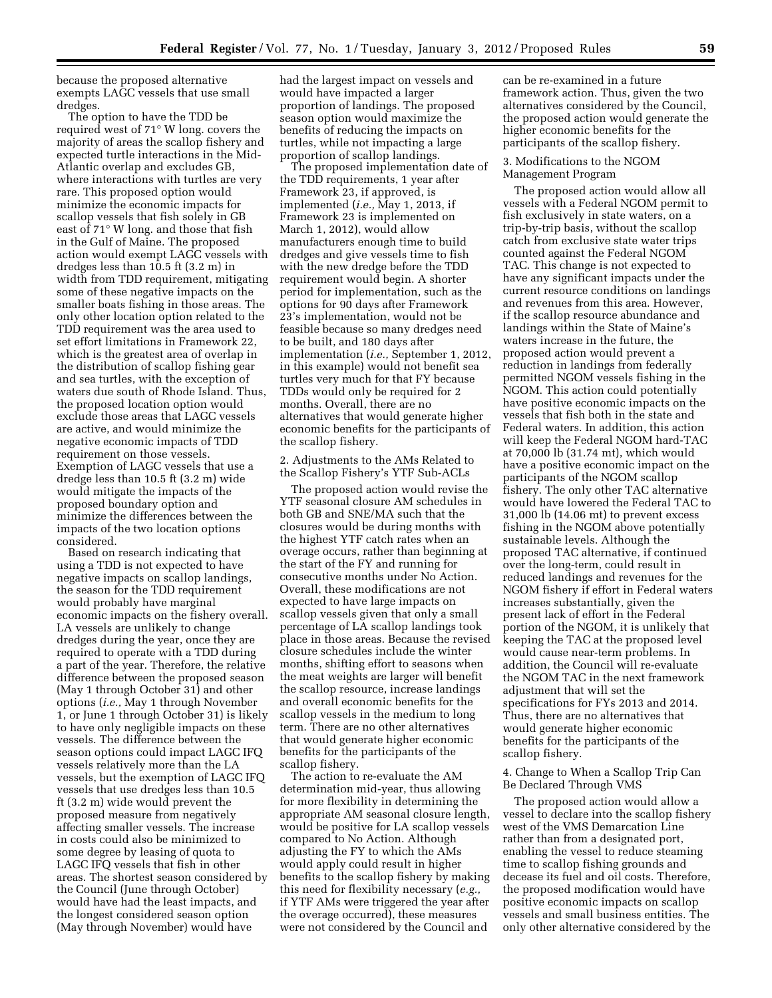because the proposed alternative exempts LAGC vessels that use small dredges.

The option to have the TDD be required west of 71° W long. covers the majority of areas the scallop fishery and expected turtle interactions in the Mid-Atlantic overlap and excludes GB, where interactions with turtles are very rare. This proposed option would minimize the economic impacts for scallop vessels that fish solely in GB east of 71° W long. and those that fish in the Gulf of Maine. The proposed action would exempt LAGC vessels with dredges less than 10.5 ft (3.2 m) in width from TDD requirement, mitigating some of these negative impacts on the smaller boats fishing in those areas. The only other location option related to the TDD requirement was the area used to set effort limitations in Framework 22, which is the greatest area of overlap in the distribution of scallop fishing gear and sea turtles, with the exception of waters due south of Rhode Island. Thus, the proposed location option would exclude those areas that LAGC vessels are active, and would minimize the negative economic impacts of TDD requirement on those vessels. Exemption of LAGC vessels that use a dredge less than 10.5 ft (3.2 m) wide would mitigate the impacts of the proposed boundary option and minimize the differences between the impacts of the two location options considered.

Based on research indicating that using a TDD is not expected to have negative impacts on scallop landings, the season for the TDD requirement would probably have marginal economic impacts on the fishery overall. LA vessels are unlikely to change dredges during the year, once they are required to operate with a TDD during a part of the year. Therefore, the relative difference between the proposed season (May 1 through October 31) and other options (*i.e.,* May 1 through November 1, or June 1 through October 31) is likely to have only negligible impacts on these vessels. The difference between the season options could impact LAGC IFQ vessels relatively more than the LA vessels, but the exemption of LAGC IFQ vessels that use dredges less than 10.5 ft (3.2 m) wide would prevent the proposed measure from negatively affecting smaller vessels. The increase in costs could also be minimized to some degree by leasing of quota to LAGC IFQ vessels that fish in other areas. The shortest season considered by the Council (June through October) would have had the least impacts, and the longest considered season option (May through November) would have

had the largest impact on vessels and would have impacted a larger proportion of landings. The proposed season option would maximize the benefits of reducing the impacts on turtles, while not impacting a large proportion of scallop landings.

The proposed implementation date of the TDD requirements, 1 year after Framework 23, if approved, is implemented (*i.e.,* May 1, 2013, if Framework 23 is implemented on March 1, 2012), would allow manufacturers enough time to build dredges and give vessels time to fish with the new dredge before the TDD requirement would begin. A shorter period for implementation, such as the options for 90 days after Framework 23's implementation, would not be feasible because so many dredges need to be built, and 180 days after implementation (*i.e.,* September 1, 2012, in this example) would not benefit sea turtles very much for that FY because TDDs would only be required for 2 months. Overall, there are no alternatives that would generate higher economic benefits for the participants of the scallop fishery.

2. Adjustments to the AMs Related to the Scallop Fishery's YTF Sub-ACLs

The proposed action would revise the YTF seasonal closure AM schedules in both GB and SNE/MA such that the closures would be during months with the highest YTF catch rates when an overage occurs, rather than beginning at the start of the FY and running for consecutive months under No Action. Overall, these modifications are not expected to have large impacts on scallop vessels given that only a small percentage of LA scallop landings took place in those areas. Because the revised closure schedules include the winter months, shifting effort to seasons when the meat weights are larger will benefit the scallop resource, increase landings and overall economic benefits for the scallop vessels in the medium to long term. There are no other alternatives that would generate higher economic benefits for the participants of the scallop fishery.

The action to re-evaluate the AM determination mid-year, thus allowing for more flexibility in determining the appropriate AM seasonal closure length, would be positive for LA scallop vessels compared to No Action. Although adjusting the FY to which the AMs would apply could result in higher benefits to the scallop fishery by making this need for flexibility necessary (*e.g.,*  if YTF AMs were triggered the year after the overage occurred), these measures were not considered by the Council and

can be re-examined in a future framework action. Thus, given the two alternatives considered by the Council, the proposed action would generate the higher economic benefits for the participants of the scallop fishery.

3. Modifications to the NGOM Management Program

The proposed action would allow all vessels with a Federal NGOM permit to fish exclusively in state waters, on a trip-by-trip basis, without the scallop catch from exclusive state water trips counted against the Federal NGOM TAC. This change is not expected to have any significant impacts under the current resource conditions on landings and revenues from this area. However, if the scallop resource abundance and landings within the State of Maine's waters increase in the future, the proposed action would prevent a reduction in landings from federally permitted NGOM vessels fishing in the NGOM. This action could potentially have positive economic impacts on the vessels that fish both in the state and Federal waters. In addition, this action will keep the Federal NGOM hard-TAC at 70,000 lb (31.74 mt), which would have a positive economic impact on the participants of the NGOM scallop fishery. The only other TAC alternative would have lowered the Federal TAC to 31,000 lb (14.06 mt) to prevent excess fishing in the NGOM above potentially sustainable levels. Although the proposed TAC alternative, if continued over the long-term, could result in reduced landings and revenues for the NGOM fishery if effort in Federal waters increases substantially, given the present lack of effort in the Federal portion of the NGOM, it is unlikely that keeping the TAC at the proposed level would cause near-term problems. In addition, the Council will re-evaluate the NGOM TAC in the next framework adjustment that will set the specifications for FYs 2013 and 2014. Thus, there are no alternatives that would generate higher economic benefits for the participants of the scallop fishery.

4. Change to When a Scallop Trip Can Be Declared Through VMS

The proposed action would allow a vessel to declare into the scallop fishery west of the VMS Demarcation Line rather than from a designated port, enabling the vessel to reduce steaming time to scallop fishing grounds and decease its fuel and oil costs. Therefore, the proposed modification would have positive economic impacts on scallop vessels and small business entities. The only other alternative considered by the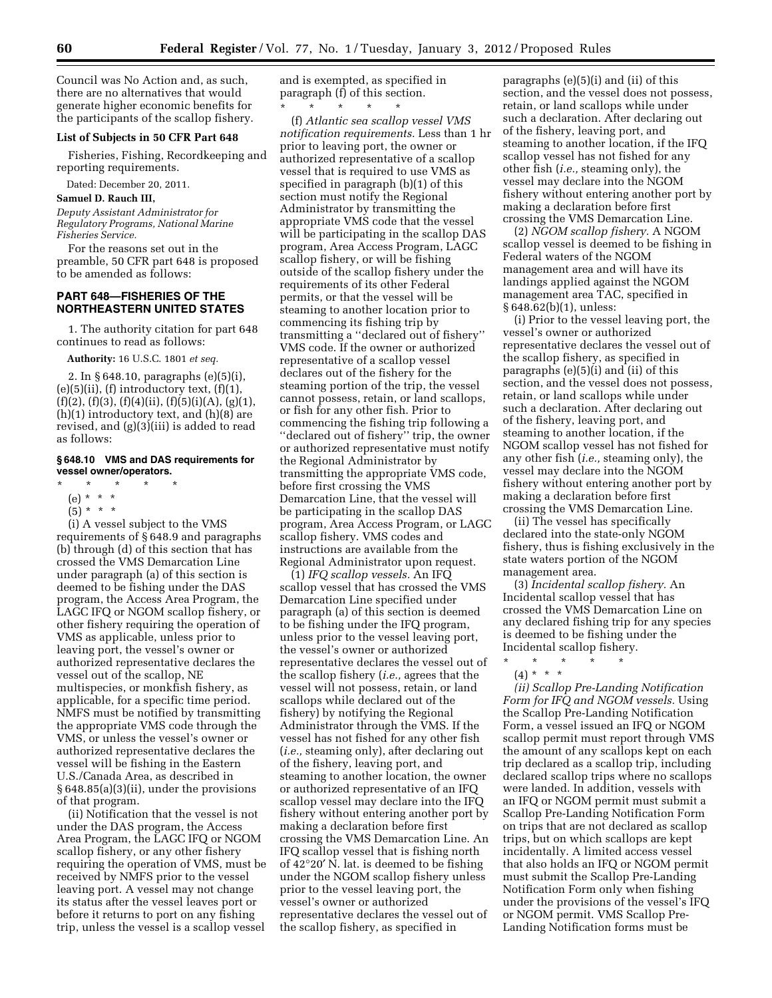Council was No Action and, as such, there are no alternatives that would generate higher economic benefits for the participants of the scallop fishery.

### **List of Subjects in 50 CFR Part 648**

Fisheries, Fishing, Recordkeeping and reporting requirements.

Dated: December 20, 2011.

# **Samuel D. Rauch III,**

*Deputy Assistant Administrator for Regulatory Programs, National Marine Fisheries Service.* 

For the reasons set out in the preamble, 50 CFR part 648 is proposed to be amended as follows:

### **PART 648—FISHERIES OF THE NORTHEASTERN UNITED STATES**

1. The authority citation for part 648 continues to read as follows:

**Authority:** 16 U.S.C. 1801 *et seq.* 

2. In § 648.10, paragraphs (e)(5)(i),  $(e)(5)(ii)$ ,  $(f)$  introductory text,  $(f)(1)$ ,  $(f)(2)$ ,  $(f)(3)$ ,  $(f)(4)(ii)$ ,  $(f)(5)(i)(A)$ ,  $(g)(1)$ , (h)(1) introductory text, and (h)(8) are revised, and (g)(3)(iii) is added to read as follows:

#### **§ 648.10 VMS and DAS requirements for vessel owner/operators.**

- \* \* \* \* \*
	- (e) \* \* \*
	- $(5) * * * *$
- (i) A vessel subject to the VMS requirements of § 648.9 and paragraphs (b) through (d) of this section that has crossed the VMS Demarcation Line under paragraph (a) of this section is deemed to be fishing under the DAS program, the Access Area Program, the LAGC IFQ or NGOM scallop fishery, or other fishery requiring the operation of VMS as applicable, unless prior to leaving port, the vessel's owner or authorized representative declares the vessel out of the scallop, NE multispecies, or monkfish fishery, as applicable, for a specific time period. NMFS must be notified by transmitting the appropriate VMS code through the VMS, or unless the vessel's owner or authorized representative declares the vessel will be fishing in the Eastern U.S./Canada Area, as described in § 648.85(a)(3)(ii), under the provisions of that program.

(ii) Notification that the vessel is not under the DAS program, the Access Area Program, the LAGC IFQ or NGOM scallop fishery, or any other fishery requiring the operation of VMS, must be received by NMFS prior to the vessel leaving port. A vessel may not change its status after the vessel leaves port or before it returns to port on any fishing trip, unless the vessel is a scallop vessel

and is exempted, as specified in paragraph (f) of this section. \* \* \* \* \*

(f) *Atlantic sea scallop vessel VMS notification requirements.* Less than 1 hr prior to leaving port, the owner or authorized representative of a scallop vessel that is required to use VMS as specified in paragraph (b)(1) of this section must notify the Regional Administrator by transmitting the appropriate VMS code that the vessel will be participating in the scallop DAS program, Area Access Program, LAGC scallop fishery, or will be fishing outside of the scallop fishery under the requirements of its other Federal permits, or that the vessel will be steaming to another location prior to commencing its fishing trip by transmitting a ''declared out of fishery'' VMS code. If the owner or authorized representative of a scallop vessel declares out of the fishery for the steaming portion of the trip, the vessel cannot possess, retain, or land scallops, or fish for any other fish. Prior to commencing the fishing trip following a "declared out of fishery" trip, the owner or authorized representative must notify the Regional Administrator by transmitting the appropriate VMS code, before first crossing the VMS Demarcation Line, that the vessel will be participating in the scallop DAS program, Area Access Program, or LAGC scallop fishery. VMS codes and instructions are available from the Regional Administrator upon request.

(1) *IFQ scallop vessels.* An IFQ scallop vessel that has crossed the VMS Demarcation Line specified under paragraph (a) of this section is deemed to be fishing under the IFQ program, unless prior to the vessel leaving port, the vessel's owner or authorized representative declares the vessel out of the scallop fishery (*i.e.,* agrees that the vessel will not possess, retain, or land scallops while declared out of the fishery) by notifying the Regional Administrator through the VMS. If the vessel has not fished for any other fish (*i.e.,* steaming only), after declaring out of the fishery, leaving port, and steaming to another location, the owner or authorized representative of an IFQ scallop vessel may declare into the IFQ fishery without entering another port by making a declaration before first crossing the VMS Demarcation Line. An IFQ scallop vessel that is fishing north of 42°20′ N. lat. is deemed to be fishing under the NGOM scallop fishery unless prior to the vessel leaving port, the vessel's owner or authorized representative declares the vessel out of the scallop fishery, as specified in

paragraphs (e)(5)(i) and (ii) of this section, and the vessel does not possess, retain, or land scallops while under such a declaration. After declaring out of the fishery, leaving port, and steaming to another location, if the IFQ scallop vessel has not fished for any other fish (*i.e.,* steaming only), the vessel may declare into the NGOM fishery without entering another port by making a declaration before first crossing the VMS Demarcation Line.

(2) *NGOM scallop fishery.* A NGOM scallop vessel is deemed to be fishing in Federal waters of the NGOM management area and will have its landings applied against the NGOM management area TAC, specified in § 648.62(b)(1), unless:

(i) Prior to the vessel leaving port, the vessel's owner or authorized representative declares the vessel out of the scallop fishery, as specified in paragraphs (e)(5)(i) and (ii) of this section, and the vessel does not possess, retain, or land scallops while under such a declaration. After declaring out of the fishery, leaving port, and steaming to another location, if the NGOM scallop vessel has not fished for any other fish (*i.e.,* steaming only), the vessel may declare into the NGOM fishery without entering another port by making a declaration before first crossing the VMS Demarcation Line.

(ii) The vessel has specifically declared into the state-only NGOM fishery, thus is fishing exclusively in the state waters portion of the NGOM management area.

(3) *Incidental scallop fishery.* An Incidental scallop vessel that has crossed the VMS Demarcation Line on any declared fishing trip for any species is deemed to be fishing under the Incidental scallop fishery.

\* \* \* \* \* (4) \* \* \*

*(ii) Scallop Pre-Landing Notification Form for IFQ and NGOM vessels.* Using the Scallop Pre-Landing Notification Form, a vessel issued an IFQ or NGOM scallop permit must report through VMS the amount of any scallops kept on each trip declared as a scallop trip, including declared scallop trips where no scallops were landed. In addition, vessels with an IFQ or NGOM permit must submit a Scallop Pre-Landing Notification Form on trips that are not declared as scallop trips, but on which scallops are kept incidentally. A limited access vessel that also holds an IFQ or NGOM permit must submit the Scallop Pre-Landing Notification Form only when fishing under the provisions of the vessel's IFQ or NGOM permit. VMS Scallop Pre-Landing Notification forms must be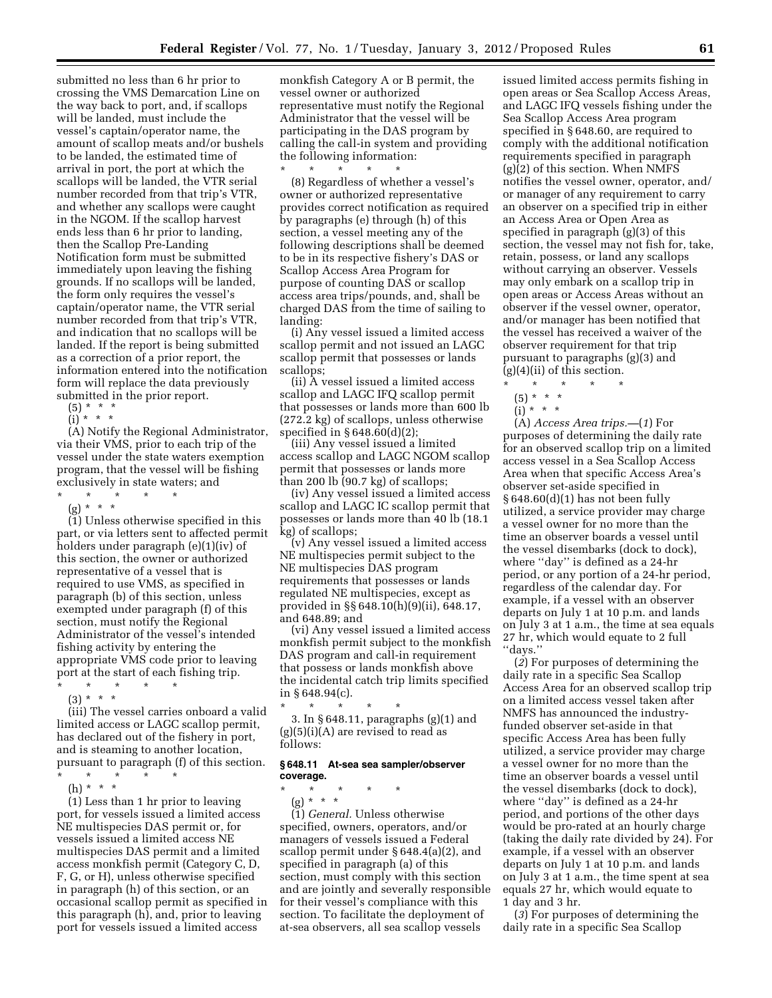submitted no less than 6 hr prior to crossing the VMS Demarcation Line on the way back to port, and, if scallops will be landed, must include the vessel's captain/operator name, the amount of scallop meats and/or bushels to be landed, the estimated time of arrival in port, the port at which the scallops will be landed, the VTR serial number recorded from that trip's VTR, and whether any scallops were caught in the NGOM. If the scallop harvest ends less than 6 hr prior to landing, then the Scallop Pre-Landing Notification form must be submitted immediately upon leaving the fishing grounds. If no scallops will be landed, the form only requires the vessel's captain/operator name, the VTR serial number recorded from that trip's VTR, and indication that no scallops will be landed. If the report is being submitted as a correction of a prior report, the information entered into the notification form will replace the data previously submitted in the prior report.

(5) \* \* \*

(i) \* \* \* (A) Notify the Regional Administrator, via their VMS, prior to each trip of the vessel under the state waters exemption program, that the vessel will be fishing

- exclusively in state waters; and \* \* \* \* \*
	- (g) \* \* \*

(1) Unless otherwise specified in this part, or via letters sent to affected permit holders under paragraph (e)(1)(iv) of this section, the owner or authorized representative of a vessel that is required to use VMS, as specified in paragraph (b) of this section, unless exempted under paragraph (f) of this section, must notify the Regional Administrator of the vessel's intended fishing activity by entering the appropriate VMS code prior to leaving port at the start of each fishing trip.

\* \* \* \* \* (3) \* \* \*

(iii) The vessel carries onboard a valid limited access or LAGC scallop permit, has declared out of the fishery in port, and is steaming to another location, pursuant to paragraph (f) of this section.

 $\star$   $\star$   $\star$ 

(h) \* \* \*

(1) Less than 1 hr prior to leaving port, for vessels issued a limited access NE multispecies DAS permit or, for vessels issued a limited access NE multispecies DAS permit and a limited access monkfish permit (Category C, D, F, G, or H), unless otherwise specified in paragraph (h) of this section, or an occasional scallop permit as specified in this paragraph (h), and, prior to leaving port for vessels issued a limited access

monkfish Category A or B permit, the vessel owner or authorized representative must notify the Regional Administrator that the vessel will be participating in the DAS program by calling the call-in system and providing the following information: \* \* \* \* \*

(8) Regardless of whether a vessel's owner or authorized representative provides correct notification as required by paragraphs (e) through (h) of this section, a vessel meeting any of the following descriptions shall be deemed to be in its respective fishery's DAS or Scallop Access Area Program for purpose of counting DAS or scallop access area trips/pounds, and, shall be charged DAS from the time of sailing to landing:

(i) Any vessel issued a limited access scallop permit and not issued an LAGC scallop permit that possesses or lands scallops;

(ii) A vessel issued a limited access scallop and LAGC IFQ scallop permit that possesses or lands more than 600 lb (272.2 kg) of scallops, unless otherwise specified in § 648.60(d)(2);

(iii) Any vessel issued a limited access scallop and LAGC NGOM scallop permit that possesses or lands more than 200 lb (90.7 kg) of scallops;

(iv) Any vessel issued a limited access scallop and LAGC IC scallop permit that possesses or lands more than 40 lb (18.1 kg) of scallops;

(v) Any vessel issued a limited access NE multispecies permit subject to the NE multispecies DAS program requirements that possesses or lands regulated NE multispecies, except as provided in §§ 648.10(h)(9)(ii), 648.17, and 648.89; and

(vi) Any vessel issued a limited access monkfish permit subject to the monkfish DAS program and call-in requirement that possess or lands monkfish above the incidental catch trip limits specified in § 648.94(c).

\* \* \* \* \* 3. In § 648.11, paragraphs (g)(1) and  $(g)(5)(i)(A)$  are revised to read as follows:

### **§ 648.11 At-sea sea sampler/observer coverage.**

\* \* \* \* \* (g) \* \* \*

(1) *General.* Unless otherwise specified, owners, operators, and/or managers of vessels issued a Federal scallop permit under § 648.4(a)(2), and specified in paragraph (a) of this section, must comply with this section and are jointly and severally responsible for their vessel's compliance with this section. To facilitate the deployment of at-sea observers, all sea scallop vessels

issued limited access permits fishing in open areas or Sea Scallop Access Areas, and LAGC IFQ vessels fishing under the Sea Scallop Access Area program specified in § 648.60, are required to comply with the additional notification requirements specified in paragraph (g)(2) of this section. When NMFS notifies the vessel owner, operator, and/ or manager of any requirement to carry an observer on a specified trip in either an Access Area or Open Area as specified in paragraph (g)(3) of this section, the vessel may not fish for, take, retain, possess, or land any scallops without carrying an observer. Vessels may only embark on a scallop trip in open areas or Access Areas without an observer if the vessel owner, operator, and/or manager has been notified that the vessel has received a waiver of the observer requirement for that trip pursuant to paragraphs (g)(3) and (g)(4)(ii) of this section.

- \* \* \* \* \*
- $(5) * * * *$
- (i) \* \* \*

(A) *Access Area trips.—*(*1*) For purposes of determining the daily rate for an observed scallop trip on a limited access vessel in a Sea Scallop Access Area when that specific Access Area's observer set-aside specified in  $§ 648.60(d)(1)$  has not been fully utilized, a service provider may charge a vessel owner for no more than the time an observer boards a vessel until the vessel disembarks (dock to dock), where ''day'' is defined as a 24-hr period, or any portion of a 24-hr period, regardless of the calendar day. For example, if a vessel with an observer departs on July 1 at 10 p.m. and lands on July 3 at 1 a.m., the time at sea equals 27 hr, which would equate to 2 full ''days.''

(*2*) For purposes of determining the daily rate in a specific Sea Scallop Access Area for an observed scallop trip on a limited access vessel taken after NMFS has announced the industryfunded observer set-aside in that specific Access Area has been fully utilized, a service provider may charge a vessel owner for no more than the time an observer boards a vessel until the vessel disembarks (dock to dock), where ''day'' is defined as a 24-hr period, and portions of the other days would be pro-rated at an hourly charge (taking the daily rate divided by 24). For example, if a vessel with an observer departs on July 1 at 10 p.m. and lands on July 3 at 1 a.m., the time spent at sea equals 27 hr, which would equate to 1 day and 3 hr.

(*3*) For purposes of determining the daily rate in a specific Sea Scallop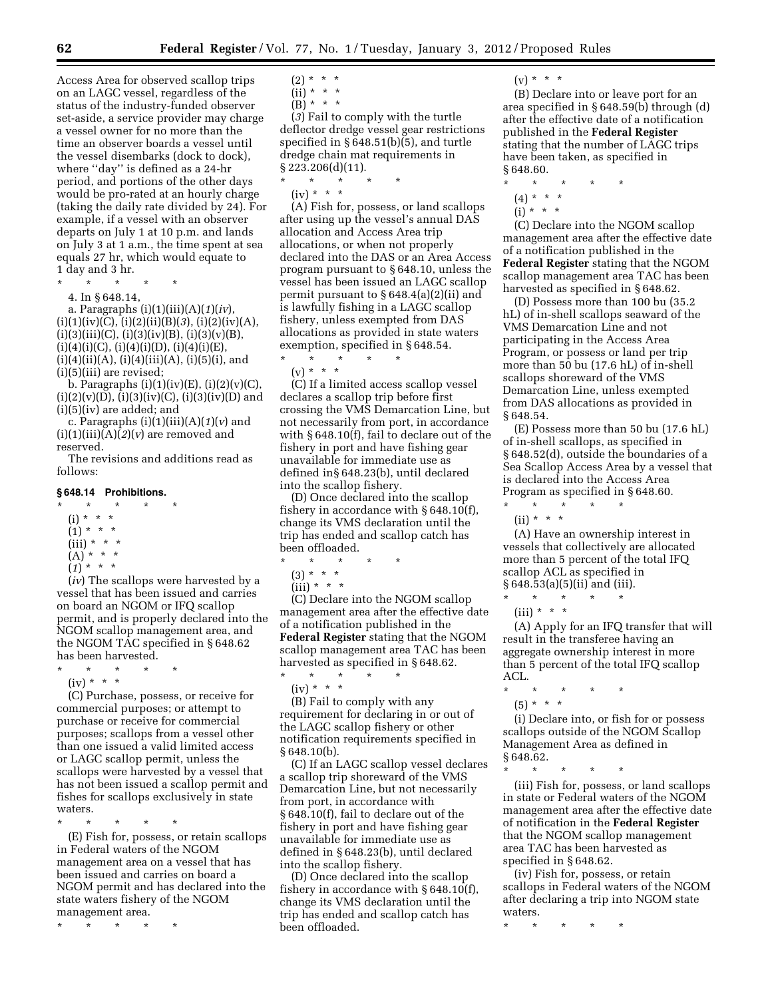Access Area for observed scallop trips on an LAGC vessel, regardless of the status of the industry-funded observer set-aside, a service provider may charge a vessel owner for no more than the time an observer boards a vessel until the vessel disembarks (dock to dock), where ''day'' is defined as a 24-hr period, and portions of the other days would be pro-rated at an hourly charge (taking the daily rate divided by 24). For example, if a vessel with an observer departs on July 1 at 10 p.m. and lands on July 3 at 1 a.m., the time spent at sea equals 27 hr, which would equate to

1 day and 3 hr.  $\ast$ \* \* \* \* \*

4. In § 648.14,

a. Paragraphs (i)(1)(iii)(A)(*1*)(*iv*), (i)(1)(iv)(C), (i)(2)(ii)(B)(*3*), (i)(2)(iv)(A),  $(i)(3)(iii)(C), (i)(3)(iv)(B), (i)(3)(v)(B),$  $(i)(4)(i)(C), (i)(4)(i)(D), (i)(4)(i)(E),$  $(i)(4)(ii)(A), (i)(4)(iii)(A), (i)(5)(i), and$  $(i)(5)(iii)$  are revised;

b. Paragraphs  $(i)(1)(iv)(E)$ ,  $(i)(2)(v)(C)$ ,  $(i)(2)(v)(D), (i)(3)(iv)(C), (i)(3)(iv)(D)$  and (i)(5)(iv) are added; and

c. Paragraphs (i)(1)(iii)(A)(*1*)(*v*) and  $(i)(1)(iii)(A)(2)(v)$  are removed and reserved.

The revisions and additions read as follows:

### **§ 648.14 Prohibitions.**

- \* \* \* \* \*  $(i) * * * *$
- $(1) * * * *$
- $(iii) * * * *$
- $(A)^{(*)}\times K$
- (*1*) \* \* \*

(*iv*) The scallops were harvested by a vessel that has been issued and carries on board an NGOM or IFQ scallop permit, and is properly declared into the NGOM scallop management area, and the NGOM TAC specified in § 648.62 has been harvested.

- \* \* \* \* \*
	- $(iv) * * * *$

(C) Purchase, possess, or receive for commercial purposes; or attempt to purchase or receive for commercial purposes; scallops from a vessel other than one issued a valid limited access or LAGC scallop permit, unless the scallops were harvested by a vessel that has not been issued a scallop permit and fishes for scallops exclusively in state waters.

\* \* \* \* \*

(E) Fish for, possess, or retain scallops in Federal waters of the NGOM management area on a vessel that has been issued and carries on board a NGOM permit and has declared into the state waters fishery of the NGOM management area.

\* \* \* \* \*

- $(2) * * * *$
- $(ii) * * * *$  $(B) * * * *$ 
	-

(*3*) Fail to comply with the turtle deflector dredge vessel gear restrictions specified in § 648.51(b)(5), and turtle dredge chain mat requirements in  $$223.206(d)(11).$ 

- \* \* \* \* \*
- $(iv) * * * *$

(A) Fish for, possess, or land scallops after using up the vessel's annual DAS allocation and Access Area trip allocations, or when not properly declared into the DAS or an Area Access program pursuant to § 648.10, unless the vessel has been issued an LAGC scallop permit pursuant to § 648.4(a)(2)(ii) and is lawfully fishing in a LAGC scallop fishery, unless exempted from DAS allocations as provided in state waters exemption, specified in § 648.54. \* \* \* \* \*

(v) \* \* \*

(C) If a limited access scallop vessel declares a scallop trip before first crossing the VMS Demarcation Line, but not necessarily from port, in accordance with § 648.10(f), fail to declare out of the fishery in port and have fishing gear unavailable for immediate use as defined in§ 648.23(b), until declared into the scallop fishery.

(D) Once declared into the scallop fishery in accordance with § 648.10(f), change its VMS declaration until the trip has ended and scallop catch has been offloaded.

- $\star$   $\star$   $\star$
- $(3) * * * *$
- $(iii) * * * *$

(C) Declare into the NGOM scallop management area after the effective date of a notification published in the **Federal Register** stating that the NGOM scallop management area TAC has been harvested as specified in § 648.62. \* \* \* \* \*

 $(iv) * * * *$ 

(B) Fail to comply with any requirement for declaring in or out of the LAGC scallop fishery or other notification requirements specified in § 648.10(b).

(C) If an LAGC scallop vessel declares a scallop trip shoreward of the VMS Demarcation Line, but not necessarily from port, in accordance with § 648.10(f), fail to declare out of the fishery in port and have fishing gear unavailable for immediate use as defined in § 648.23(b), until declared into the scallop fishery.

(D) Once declared into the scallop fishery in accordance with § 648.10(f), change its VMS declaration until the trip has ended and scallop catch has been offloaded.

 $(v) * * * *$ 

(B) Declare into or leave port for an area specified in § 648.59(b) through (d) after the effective date of a notification published in the **Federal Register**  stating that the number of LAGC trips have been taken, as specified in § 648.60.

- \* \* \* \* \*
	- (4) \* \* \*
	- $(i) * * * *$

(C) Declare into the NGOM scallop management area after the effective date of a notification published in the **Federal Register** stating that the NGOM scallop management area TAC has been harvested as specified in § 648.62.

(D) Possess more than 100 bu (35.2 hL) of in-shell scallops seaward of the VMS Demarcation Line and not participating in the Access Area Program, or possess or land per trip more than 50 bu (17.6 hL) of in-shell scallops shoreward of the VMS Demarcation Line, unless exempted from DAS allocations as provided in § 648.54.

(E) Possess more than 50 bu (17.6 hL) of in-shell scallops, as specified in § 648.52(d), outside the boundaries of a Sea Scallop Access Area by a vessel that is declared into the Access Area Program as specified in § 648.60.

- \* \* \* \* \*
- $(ii) * * * *$

(A) Have an ownership interest in vessels that collectively are allocated more than 5 percent of the total IFQ scallop ACL as specified in § 648.53(a)(5)(ii) and (iii).

\* \* \* \* \*

 $(iii) * * * *$ 

(A) Apply for an IFQ transfer that will result in the transferee having an aggregate ownership interest in more than 5 percent of the total IFQ scallop ACL.

\* \* \* \* \* (5) \* \* \*

(i) Declare into, or fish for or possess scallops outside of the NGOM Scallop Management Area as defined in § 648.62.

\* \* \* \* \*

(iii) Fish for, possess, or land scallops in state or Federal waters of the NGOM management area after the effective date of notification in the **Federal Register**  that the NGOM scallop management area TAC has been harvested as specified in § 648.62.

(iv) Fish for, possess, or retain scallops in Federal waters of the NGOM after declaring a trip into NGOM state waters.

\* \* \* \* \*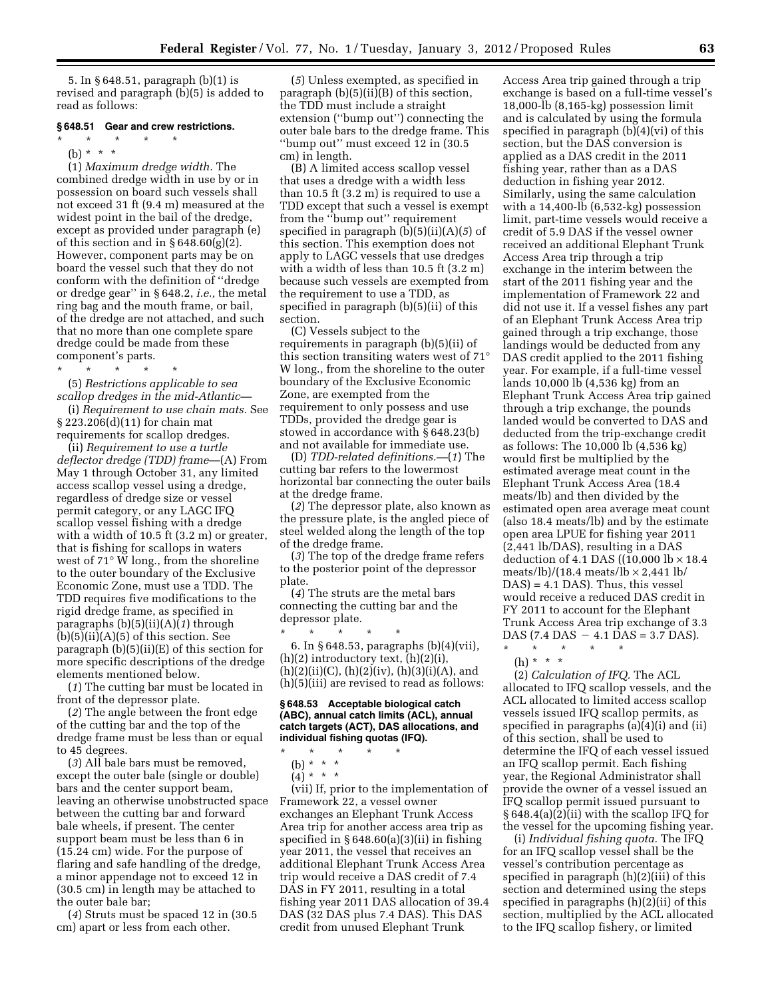5. In § 648.51, paragraph (b)(1) is revised and paragraph (b)(5) is added to read as follows:

### **§ 648.51 Gear and crew restrictions.**

 $\star$   $\qquad$   $\star$   $\qquad$   $\star$ (b) \* \* \*

(1) *Maximum dredge width.* The combined dredge width in use by or in possession on board such vessels shall not exceed 31 ft (9.4 m) measured at the widest point in the bail of the dredge, except as provided under paragraph (e) of this section and in  $\S 648.60(g)(2)$ . However, component parts may be on board the vessel such that they do not conform with the definition of ''dredge or dredge gear'' in § 648.2, *i.e.,* the metal ring bag and the mouth frame, or bail, of the dredge are not attached, and such that no more than one complete spare dredge could be made from these component's parts.

\* \* \* \* \*

(5) *Restrictions applicable to sea scallop dredges in the mid-Atlantic—* 

(i) *Requirement to use chain mats.* See § 223.206(d)(11) for chain mat requirements for scallop dredges.

(ii) *Requirement to use a turtle deflector dredge (TDD) frame*—(A) From May 1 through October 31, any limited access scallop vessel using a dredge, regardless of dredge size or vessel permit category, or any LAGC IFQ scallop vessel fishing with a dredge with a width of 10.5 ft  $(3.2 \text{ m})$  or greater, that is fishing for scallops in waters west of 71° W long., from the shoreline to the outer boundary of the Exclusive Economic Zone, must use a TDD. The TDD requires five modifications to the rigid dredge frame, as specified in paragraphs (b)(5)(ii)(A)(*1*) through  $(b)(5)(ii)(A)(5)$  of this section. See paragraph (b)(5)(ii)(E) of this section for more specific descriptions of the dredge elements mentioned below.

(*1*) The cutting bar must be located in front of the depressor plate.

(*2*) The angle between the front edge of the cutting bar and the top of the dredge frame must be less than or equal to 45 degrees.

(*3*) All bale bars must be removed, except the outer bale (single or double) bars and the center support beam, leaving an otherwise unobstructed space between the cutting bar and forward bale wheels, if present. The center support beam must be less than 6 in (15.24 cm) wide. For the purpose of flaring and safe handling of the dredge, a minor appendage not to exceed 12 in (30.5 cm) in length may be attached to the outer bale bar;

(*4*) Struts must be spaced 12 in (30.5 cm) apart or less from each other.

(*5*) Unless exempted, as specified in paragraph (b)(5)(ii)(B) of this section, the TDD must include a straight extension (''bump out'') connecting the outer bale bars to the dredge frame. This ''bump out'' must exceed 12 in (30.5 cm) in length.

(B) A limited access scallop vessel that uses a dredge with a width less than 10.5 ft (3.2 m) is required to use a TDD except that such a vessel is exempt from the ''bump out'' requirement specified in paragraph (b)(5)(ii)(A)(*5*) of this section. This exemption does not apply to LAGC vessels that use dredges with a width of less than 10.5 ft (3.2 m) because such vessels are exempted from the requirement to use a TDD, as specified in paragraph (b)(5)(ii) of this section.

(C) Vessels subject to the requirements in paragraph (b)(5)(ii) of this section transiting waters west of 71° W long., from the shoreline to the outer boundary of the Exclusive Economic Zone, are exempted from the requirement to only possess and use TDDs, provided the dredge gear is stowed in accordance with § 648.23(b) and not available for immediate use.

(D) *TDD-related definitions.—*(*1*) The cutting bar refers to the lowermost horizontal bar connecting the outer bails at the dredge frame.

(*2*) The depressor plate, also known as the pressure plate, is the angled piece of steel welded along the length of the top of the dredge frame.

(*3*) The top of the dredge frame refers to the posterior point of the depressor plate.

(*4*) The struts are the metal bars connecting the cutting bar and the depressor plate.

\* \* \* \* \* 6. In § 648.53, paragraphs (b)(4)(vii),  $(h)(2)$  introductory text,  $(h)(2)(i)$ ,  $(h)(2)(ii)(C), (h)(2)(iv), (h)(3)(i)(A), and$ (h)(5)(iii) are revised to read as follows:

### **§ 648.53 Acceptable biological catch (ABC), annual catch limits (ACL), annual catch targets (ACT), DAS allocations, and individual fishing quotas (IFQ).**

\* \* \* \* \*

(b) \* \* \*

 $(4)^*$  \* \* \*

(vii) If, prior to the implementation of Framework 22, a vessel owner exchanges an Elephant Trunk Access Area trip for another access area trip as specified in § 648.60(a)(3)(ii) in fishing year 2011, the vessel that receives an additional Elephant Trunk Access Area trip would receive a DAS credit of 7.4 DAS in FY 2011, resulting in a total fishing year 2011 DAS allocation of 39.4 DAS (32 DAS plus 7.4 DAS). This DAS credit from unused Elephant Trunk

Access Area trip gained through a trip exchange is based on a full-time vessel's 18,000-lb (8,165-kg) possession limit and is calculated by using the formula specified in paragraph (b)(4)(vi) of this section, but the DAS conversion is applied as a DAS credit in the 2011 fishing year, rather than as a DAS deduction in fishing year 2012. Similarly, using the same calculation with a 14,400-lb (6,532-kg) possession limit, part-time vessels would receive a credit of 5.9 DAS if the vessel owner received an additional Elephant Trunk Access Area trip through a trip exchange in the interim between the start of the 2011 fishing year and the implementation of Framework 22 and did not use it. If a vessel fishes any part of an Elephant Trunk Access Area trip gained through a trip exchange, those landings would be deducted from any DAS credit applied to the 2011 fishing year. For example, if a full-time vessel lands 10,000  $\overline{16}$  (4,536 kg) from an Elephant Trunk Access Area trip gained through a trip exchange, the pounds landed would be converted to DAS and deducted from the trip-exchange credit as follows: The 10,000 lb (4,536 kg) would first be multiplied by the estimated average meat count in the Elephant Trunk Access Area (18.4 meats/lb) and then divided by the estimated open area average meat count (also 18.4 meats/lb) and by the estimate open area LPUE for fishing year 2011 (2,441 lb/DAS), resulting in a DAS deduction of 4.1 DAS ((10,000  $\rm{lb} \times 18.4$ meats/lb)/(18.4 meats/lb  $\times$  2,441 lb/ DAS) = 4.1 DAS). Thus, this vessel would receive a reduced DAS credit in FY 2011 to account for the Elephant Trunk Access Area trip exchange of 3.3  $DAS$  (7.4  $DAS - 4.1$   $DAS = 3.7$   $DAS$ ).

\* \* \* \* \*

(h) \* \* \*

(2) *Calculation of IFQ.* The ACL allocated to IFQ scallop vessels, and the ACL allocated to limited access scallop vessels issued IFQ scallop permits, as specified in paragraphs  $(a)(4)(i)$  and  $(ii)$ of this section, shall be used to determine the IFQ of each vessel issued an IFQ scallop permit. Each fishing year, the Regional Administrator shall provide the owner of a vessel issued an IFQ scallop permit issued pursuant to § 648.4(a)(2)(ii) with the scallop IFQ for the vessel for the upcoming fishing year.

(i) *Individual fishing quota.* The IFQ for an IFQ scallop vessel shall be the vessel's contribution percentage as specified in paragraph (h)(2)(iii) of this section and determined using the steps specified in paragraphs (h)(2)(ii) of this section, multiplied by the ACL allocated to the IFQ scallop fishery, or limited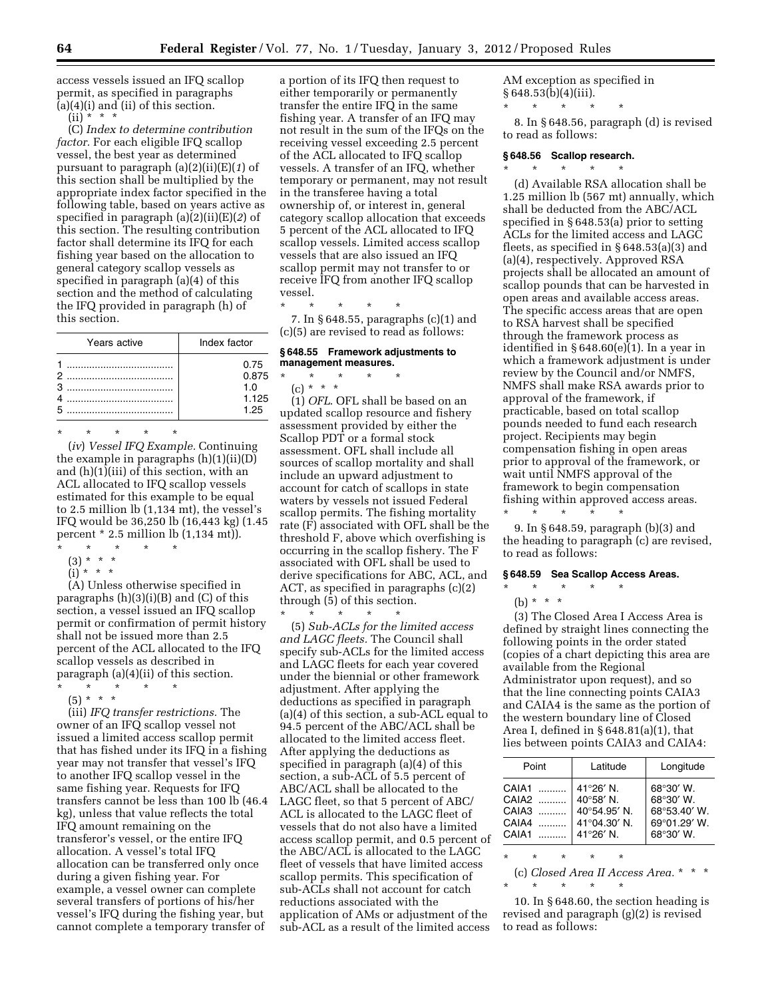access vessels issued an IFQ scallop permit, as specified in paragraphs  $(a)(4)(i)$  and  $(ii)$  of this section.  $(ii) * * * * *$ 

(C) *Index to determine contribution factor.* For each eligible IFQ scallop vessel, the best year as determined pursuant to paragraph (a)(2)(ii)(E)(*1*) of this section shall be multiplied by the appropriate index factor specified in the following table, based on years active as specified in paragraph (a)(2)(ii)(E)(*2*) of this section. The resulting contribution factor shall determine its IFQ for each fishing year based on the allocation to general category scallop vessels as specified in paragraph (a)(4) of this section and the method of calculating the IFQ provided in paragraph (h) of this section.

| Years active | Index factor |
|--------------|--------------|
|              | 0.75         |
|              | 0.875        |
|              | 1 N          |
|              | 1.125        |
|              | 1 25         |

\* \* \* \* \*

(*iv*) *Vessel IFQ Example.* Continuing the example in paragraphs  $(h)(1)(ii)(D)$ and (h)(1)(iii) of this section, with an ACL allocated to IFQ scallop vessels estimated for this example to be equal to 2.5 million lb (1,134 mt), the vessel's IFQ would be 36,250 lb (16,443 kg) (1.45 percent \* 2.5 million lb (1,134 mt)).

- \* \* \* \* \*
- $(3) * * * *$
- $(i) * * * *$

(A) Unless otherwise specified in paragraphs  $(h)(3)(i)(B)$  and  $(C)$  of this section, a vessel issued an IFQ scallop permit or confirmation of permit history shall not be issued more than 2.5 percent of the ACL allocated to the IFQ scallop vessels as described in paragraph (a)(4)(ii) of this section.

\* \* \* \* \* (5) \* \* \*

(iii) *IFQ transfer restrictions.* The owner of an IFQ scallop vessel not issued a limited access scallop permit that has fished under its IFQ in a fishing year may not transfer that vessel's IFQ to another IFQ scallop vessel in the same fishing year. Requests for IFQ transfers cannot be less than 100 lb (46.4 kg), unless that value reflects the total IFQ amount remaining on the transferor's vessel, or the entire IFQ allocation. A vessel's total IFQ allocation can be transferred only once during a given fishing year. For example, a vessel owner can complete several transfers of portions of his/her vessel's IFQ during the fishing year, but cannot complete a temporary transfer of

a portion of its IFQ then request to either temporarily or permanently transfer the entire IFQ in the same fishing year. A transfer of an IFQ may not result in the sum of the IFQs on the receiving vessel exceeding 2.5 percent of the ACL allocated to IFQ scallop vessels. A transfer of an IFQ, whether temporary or permanent, may not result in the transferee having a total ownership of, or interest in, general category scallop allocation that exceeds 5 percent of the ACL allocated to IFQ scallop vessels. Limited access scallop vessels that are also issued an IFQ scallop permit may not transfer to or receive IFQ from another IFQ scallop vessel.

\* \* \* \* \* 7. In § 648.55, paragraphs (c)(1) and (c)(5) are revised to read as follows:

### **§ 648.55 Framework adjustments to management measures.**

\* \* \* \* \* (c) \* \* \*

(1) *OFL*. OFL shall be based on an updated scallop resource and fishery assessment provided by either the Scallop PDT or a formal stock assessment. OFL shall include all sources of scallop mortality and shall include an upward adjustment to account for catch of scallops in state waters by vessels not issued Federal scallop permits. The fishing mortality rate (F) associated with OFL shall be the threshold F, above which overfishing is occurring in the scallop fishery. The F associated with OFL shall be used to derive specifications for ABC, ACL, and ACT, as specified in paragraphs (c)(2) through (5) of this section. \* \* \* \* \*

(5) *Sub-ACLs for the limited access and LAGC fleets.* The Council shall specify sub-ACLs for the limited access and LAGC fleets for each year covered under the biennial or other framework adjustment. After applying the deductions as specified in paragraph (a)(4) of this section, a sub-ACL equal to 94.5 percent of the ABC/ACL shall be allocated to the limited access fleet. After applying the deductions as specified in paragraph (a)(4) of this section, a sub-ACL of 5.5 percent of ABC/ACL shall be allocated to the LAGC fleet, so that 5 percent of ABC/ ACL is allocated to the LAGC fleet of vessels that do not also have a limited access scallop permit, and 0.5 percent of the ABC/ACL is allocated to the LAGC fleet of vessels that have limited access scallop permits. This specification of sub-ACLs shall not account for catch reductions associated with the application of AMs or adjustment of the sub-ACL as a result of the limited access

AM exception as specified in  $§ 648.53(b)(4)(iii).$ \* \* \* \* \*

8. In § 648.56, paragraph (d) is revised to read as follows:

#### **§ 648.56 Scallop research.**  \* \* \* \* \*

(d) Available RSA allocation shall be 1.25 million lb (567 mt) annually, which shall be deducted from the ABC/ACL specified in § 648.53(a) prior to setting ACLs for the limited access and LAGC fleets, as specified in § 648.53(a)(3) and (a)(4), respectively. Approved RSA projects shall be allocated an amount of scallop pounds that can be harvested in open areas and available access areas. The specific access areas that are open to RSA harvest shall be specified through the framework process as identified in § 648.60(e)(1). In a year in which a framework adjustment is under review by the Council and/or NMFS, NMFS shall make RSA awards prior to approval of the framework, if practicable, based on total scallop pounds needed to fund each research project. Recipients may begin compensation fishing in open areas prior to approval of the framework, or wait until NMFS approval of the framework to begin compensation fishing within approved access areas. \* \* \* \* \*

9. In § 648.59, paragraph (b)(3) and the heading to paragraph (c) are revised, to read as follows:

#### **§ 648.59 Sea Scallop Access Areas.**

\* \* \* \* \* (b) \* \* \*

(3) The Closed Area I Access Area is defined by straight lines connecting the following points in the order stated (copies of a chart depicting this area are available from the Regional Administrator upon request), and so that the line connecting points CAIA3 and CAIA4 is the same as the portion of the western boundary line of Closed Area I, defined in § 648.81(a)(1), that lies between points CAIA3 and CAIA4:

| Point                                     | Latitude                                                                              | Longitude                                                                             |
|-------------------------------------------|---------------------------------------------------------------------------------------|---------------------------------------------------------------------------------------|
| CAIA1<br>CAIA2<br>CAIA3<br>CAIA4<br>CAIA1 | 41°26' N.<br>$40^{\circ}58'$ N.<br>40°54.95' N.<br>41°04.30' N.<br>$41^{\circ}26'$ N. | 68°30′ W.<br>$68^{\circ}30'$ W.<br>68°53.40' W.<br>69°01.29' W.<br>$68^{\circ}30'$ W. |

\* \* \* \* \*

(c) *Closed Area II Access Area.* \* \* \*  $\star$   $\qquad$   $\star$   $\qquad$   $\star$   $\qquad$   $\star$ 

10. In § 648.60, the section heading is revised and paragraph (g)(2) is revised to read as follows: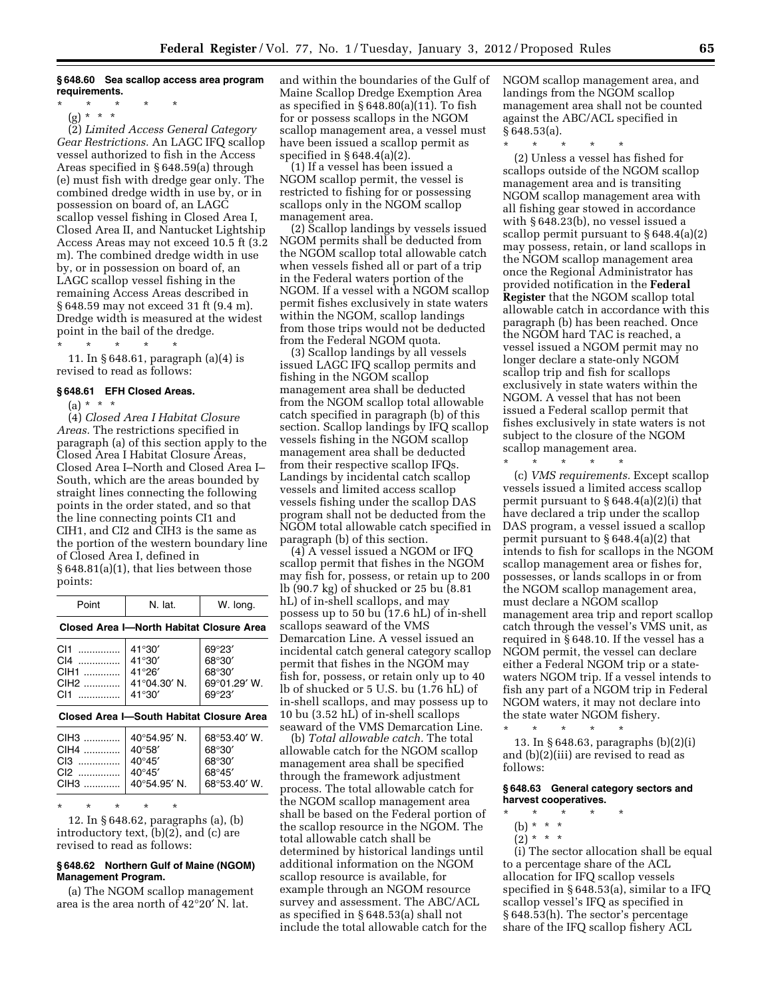# **§ 648.60 Sea scallop access area program requirements.**

\* \* \* \* \*

(g) \* \* \*

(2) *Limited Access General Category Gear Restrictions.* An LAGC IFQ scallop vessel authorized to fish in the Access Areas specified in § 648.59(a) through (e) must fish with dredge gear only. The combined dredge width in use by, or in possession on board of, an LAGC scallop vessel fishing in Closed Area I, Closed Area II, and Nantucket Lightship Access Areas may not exceed 10.5 ft (3.2 m). The combined dredge width in use by, or in possession on board of, an LAGC scallop vessel fishing in the remaining Access Areas described in § 648.59 may not exceed 31 ft (9.4 m). Dredge width is measured at the widest point in the bail of the dredge. \* \* \* \* \*

11. In § 648.61, paragraph (a)(4) is revised to read as follows:

#### **§ 648.61 EFH Closed Areas.**

(a) \* \* \*

(4) *Closed Area I Habitat Closure Areas.* The restrictions specified in paragraph (a) of this section apply to the Closed Area I Habitat Closure Areas, Closed Area I–North and Closed Area I– South, which are the areas bounded by straight lines connecting the following points in the order stated, and so that the line connecting points CI1 and CIH1, and CI2 and CIH3 is the same as the portion of the western boundary line of Closed Area I, defined in § 648.81(a)(1), that lies between those points:

| Point                                    | N. lat.                                                                | W. long.                                             |
|------------------------------------------|------------------------------------------------------------------------|------------------------------------------------------|
| Closed Area I-North Habitat Closure Area |                                                                        |                                                      |
| CI1<br>$C14$<br>CIH1<br>$C1H2$ $\ldots$  | 41°30'<br>$41^{\circ}30'$<br>41°26'<br>41°04.30' N.<br>$41^{\circ}30'$ | 69°23'<br>68°30'<br>68°30'<br>69°01.29' W.<br>69°23' |
| Closed Area I-South Habitat Closure Area |                                                                        |                                                      |

| CIH <sub>3</sub> | 40°54.95' N.    | 68°53.40' W.    |
|------------------|-----------------|-----------------|
| $CIH4$           | 40°58'          | 68°30'          |
| $C13$            | $40^\circ 45'$  | $68^{\circ}30'$ |
| $C12$            | $40^{\circ}45'$ | 68°45'          |
| CIH <sub>3</sub> | 40°54.95' N.    | 68°53.40' W.    |

\* \* \* \* \*

12. In § 648.62, paragraphs (a), (b) introductory text, (b)(2), and (c) are revised to read as follows:

### **§ 648.62 Northern Gulf of Maine (NGOM) Management Program.**

(a) The NGOM scallop management area is the area north of 42°20′ N. lat.

and within the boundaries of the Gulf of Maine Scallop Dredge Exemption Area as specified in § 648.80(a)(11). To fish for or possess scallops in the NGOM scallop management area, a vessel must have been issued a scallop permit as specified in  $\S 648.4(a)(2)$ .

(1) If a vessel has been issued a NGOM scallop permit, the vessel is restricted to fishing for or possessing scallops only in the NGOM scallop management area.

(2) Scallop landings by vessels issued NGOM permits shall be deducted from the NGOM scallop total allowable catch when vessels fished all or part of a trip in the Federal waters portion of the NGOM. If a vessel with a NGOM scallop permit fishes exclusively in state waters within the NGOM, scallop landings from those trips would not be deducted from the Federal NGOM quota.

(3) Scallop landings by all vessels issued LAGC IFQ scallop permits and fishing in the NGOM scallop management area shall be deducted from the NGOM scallop total allowable catch specified in paragraph (b) of this section. Scallop landings by IFQ scallop vessels fishing in the NGOM scallop management area shall be deducted from their respective scallop IFQs. Landings by incidental catch scallop vessels and limited access scallop vessels fishing under the scallop DAS program shall not be deducted from the NGOM total allowable catch specified in paragraph (b) of this section.

(4) A vessel issued a NGOM or IFQ scallop permit that fishes in the NGOM may fish for, possess, or retain up to 200 lb (90.7 kg) of shucked or 25 bu (8.81 hL) of in-shell scallops, and may possess up to 50 bu (17.6 hL) of in-shell scallops seaward of the VMS Demarcation Line. A vessel issued an incidental catch general category scallop permit that fishes in the NGOM may fish for, possess, or retain only up to 40 lb of shucked or 5 U.S. bu (1.76 hL) of in-shell scallops, and may possess up to 10 bu (3.52 hL) of in-shell scallops seaward of the VMS Demarcation Line.

(b) *Total allowable catch.* The total allowable catch for the NGOM scallop management area shall be specified through the framework adjustment process. The total allowable catch for the NGOM scallop management area shall be based on the Federal portion of the scallop resource in the NGOM. The total allowable catch shall be determined by historical landings until additional information on the NGOM scallop resource is available, for example through an NGOM resource survey and assessment. The ABC/ACL as specified in § 648.53(a) shall not include the total allowable catch for the NGOM scallop management area, and landings from the NGOM scallop management area shall not be counted against the ABC/ACL specified in § 648.53(a).

\* \* \* \* \*

(2) Unless a vessel has fished for scallops outside of the NGOM scallop management area and is transiting NGOM scallop management area with all fishing gear stowed in accordance with § 648.23(b), no vessel issued a scallop permit pursuant to § 648.4(a)(2) may possess, retain, or land scallops in the NGOM scallop management area once the Regional Administrator has provided notification in the **Federal Register** that the NGOM scallop total allowable catch in accordance with this paragraph (b) has been reached. Once the NGOM hard TAC is reached, a vessel issued a NGOM permit may no longer declare a state-only NGOM scallop trip and fish for scallops exclusively in state waters within the NGOM. A vessel that has not been issued a Federal scallop permit that fishes exclusively in state waters is not subject to the closure of the NGOM scallop management area.

\* \* \* \* \*

(c) *VMS requirements.* Except scallop vessels issued a limited access scallop permit pursuant to § 648.4(a)(2)(i) that have declared a trip under the scallop DAS program, a vessel issued a scallop permit pursuant to  $§ 648.4(a)(2)$  that intends to fish for scallops in the NGOM scallop management area or fishes for, possesses, or lands scallops in or from the NGOM scallop management area, must declare a NGOM scallop management area trip and report scallop catch through the vessel's VMS unit, as required in § 648.10. If the vessel has a NGOM permit, the vessel can declare either a Federal NGOM trip or a statewaters NGOM trip. If a vessel intends to fish any part of a NGOM trip in Federal NGOM waters, it may not declare into the state water NGOM fishery.

\* \* \* \* \* 13. In § 648.63, paragraphs (b)(2)(i) and (b)(2)(iii) are revised to read as follows:

# **§ 648.63 General category sectors and harvest cooperatives.**

- \* \* \* \* \*
- (b) \* \* \*  $(2) * * * *$

(i) The sector allocation shall be equal to a percentage share of the ACL allocation for IFQ scallop vessels specified in § 648.53(a), similar to a IFQ scallop vessel's IFQ as specified in § 648.53(h). The sector's percentage share of the IFQ scallop fishery ACL